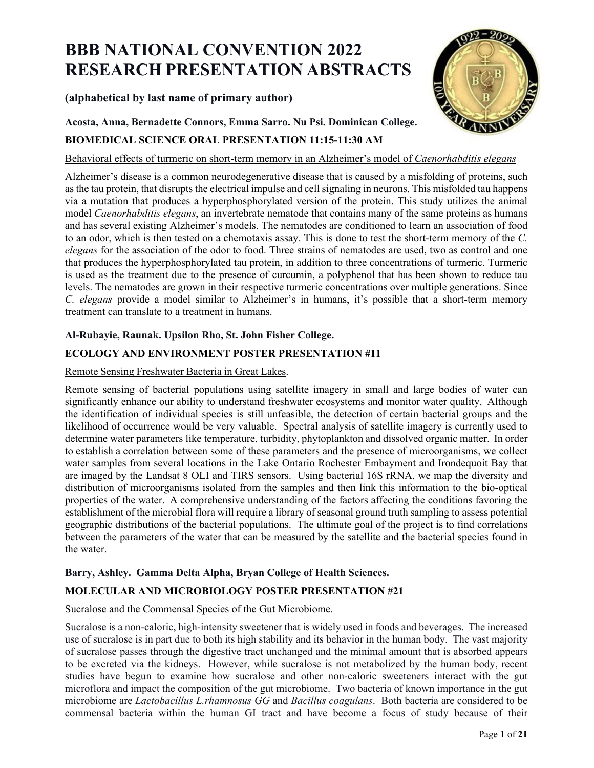# **BBB NATIONAL CONVENTION 2022 RESEARCH PRESENTATION ABSTRACTS**

# **(alphabetical by last name of primary author)**

**Acosta, Anna, Bernadette Connors, Emma Sarro. Nu Psi. Dominican College.** 



# **BIOMEDICAL SCIENCE ORAL PRESENTATION 11:15-11:30 AM**

Behavioral effects of turmeric on short-term memory in an Alzheimer's model of *Caenorhabditis elegans*

Alzheimer's disease is a common neurodegenerative disease that is caused by a misfolding of proteins, such as the tau protein, that disrupts the electrical impulse and cell signaling in neurons. This misfolded tau happens via a mutation that produces a hyperphosphorylated version of the protein. This study utilizes the animal model *Caenorhabditis elegans*, an invertebrate nematode that contains many of the same proteins as humans and has several existing Alzheimer's models. The nematodes are conditioned to learn an association of food to an odor, which is then tested on a chemotaxis assay. This is done to test the short-term memory of the *C. elegans* for the association of the odor to food. Three strains of nematodes are used, two as control and one that produces the hyperphosphorylated tau protein, in addition to three concentrations of turmeric. Turmeric is used as the treatment due to the presence of curcumin, a polyphenol that has been shown to reduce tau levels. The nematodes are grown in their respective turmeric concentrations over multiple generations. Since *C. elegans* provide a model similar to Alzheimer's in humans, it's possible that a short-term memory treatment can translate to a treatment in humans.

# **Al-Rubayie, Raunak. Upsilon Rho, St. John Fisher College.**

# **ECOLOGY AND ENVIRONMENT POSTER PRESENTATION #11**

# Remote Sensing Freshwater Bacteria in Great Lakes.

Remote sensing of bacterial populations using satellite imagery in small and large bodies of water can significantly enhance our ability to understand freshwater ecosystems and monitor water quality. Although the identification of individual species is still unfeasible, the detection of certain bacterial groups and the likelihood of occurrence would be very valuable. Spectral analysis of satellite imagery is currently used to determine water parameters like temperature, turbidity, phytoplankton and dissolved organic matter. In order to establish a correlation between some of these parameters and the presence of microorganisms, we collect water samples from several locations in the Lake Ontario Rochester Embayment and Irondequoit Bay that are imaged by the Landsat 8 OLI and TIRS sensors. Using bacterial 16S rRNA, we map the diversity and distribution of microorganisms isolated from the samples and then link this information to the bio-optical properties of the water. A comprehensive understanding of the factors affecting the conditions favoring the establishment of the microbial flora will require a library of seasonal ground truth sampling to assess potential geographic distributions of the bacterial populations. The ultimate goal of the project is to find correlations between the parameters of the water that can be measured by the satellite and the bacterial species found in the water.

# **Barry, Ashley. Gamma Delta Alpha, Bryan College of Health Sciences.**

# **MOLECULAR AND MICROBIOLOGY POSTER PRESENTATION #21**

# Sucralose and the Commensal Species of the Gut Microbiome.

Sucralose is a non-caloric, high-intensity sweetener that is widely used in foods and beverages. The increased use of sucralose is in part due to both its high stability and its behavior in the human body. The vast majority of sucralose passes through the digestive tract unchanged and the minimal amount that is absorbed appears to be excreted via the kidneys. However, while sucralose is not metabolized by the human body, recent studies have begun to examine how sucralose and other non-caloric sweeteners interact with the gut microflora and impact the composition of the gut microbiome. Two bacteria of known importance in the gut microbiome are *Lactobacillus L.rhamnosus GG* and *Bacillus coagulans*. Both bacteria are considered to be commensal bacteria within the human GI tract and have become a focus of study because of their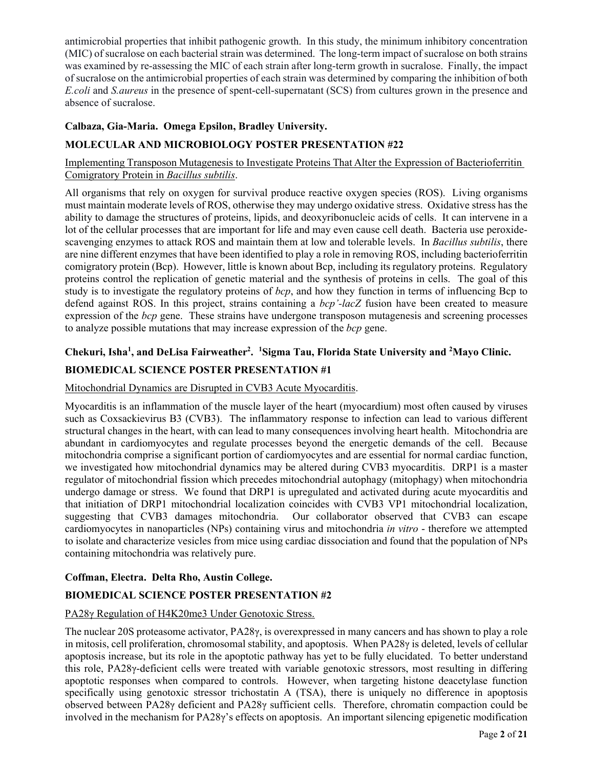antimicrobial properties that inhibit pathogenic growth. In this study, the minimum inhibitory concentration (MIC) of sucralose on each bacterial strain was determined. The long-term impact of sucralose on both strains was examined by re-assessing the MIC of each strain after long-term growth in sucralose. Finally, the impact of sucralose on the antimicrobial properties of each strain was determined by comparing the inhibition of both *E.coli* and *S.aureus* in the presence of spent-cell-supernatant (SCS) from cultures grown in the presence and absence of sucralose.

### **Calbaza, Gia-Maria. Omega Epsilon, Bradley University.**

# **MOLECULAR AND MICROBIOLOGY POSTER PRESENTATION #22**

Implementing Transposon Mutagenesis to Investigate Proteins That Alter the Expression of Bacterioferritin Comigratory Protein in *Bacillus subtilis*.

All organisms that rely on oxygen for survival produce reactive oxygen species (ROS). Living organisms must maintain moderate levels of ROS, otherwise they may undergo oxidative stress. Oxidative stress has the ability to damage the structures of proteins, lipids, and deoxyribonucleic acids of cells. It can intervene in a lot of the cellular processes that are important for life and may even cause cell death. Bacteria use peroxidescavenging enzymes to attack ROS and maintain them at low and tolerable levels. In *Bacillus subtilis*, there are nine different enzymes that have been identified to play a role in removing ROS, including bacterioferritin comigratory protein (Bcp). However, little is known about Bcp, including its regulatory proteins. Regulatory proteins control the replication of genetic material and the synthesis of proteins in cells. The goal of this study is to investigate the regulatory proteins of *bcp*, and how they function in terms of influencing Bcp to defend against ROS. In this project, strains containing a *bcp'-lacZ* fusion have been created to measure expression of the *bcp* gene. These strains have undergone transposon mutagenesis and screening processes to analyze possible mutations that may increase expression of the *bcp* gene.

# Chekuri, Isha<sup>1</sup>, and DeLisa Fairweather<sup>2</sup>. <sup>1</sup> Sigma Tau, Florida State University and <sup>2</sup> Mayo Clinic.

# **BIOMEDICAL SCIENCE POSTER PRESENTATION #1**

#### Mitochondrial Dynamics are Disrupted in CVB3 Acute Myocarditis.

Myocarditis is an inflammation of the muscle layer of the heart (myocardium) most often caused by viruses such as Coxsackievirus B3 (CVB3). The inflammatory response to infection can lead to various different structural changes in the heart, with can lead to many consequences involving heart health. Mitochondria are abundant in cardiomyocytes and regulate processes beyond the energetic demands of the cell. Because mitochondria comprise a significant portion of cardiomyocytes and are essential for normal cardiac function, we investigated how mitochondrial dynamics may be altered during CVB3 myocarditis. DRP1 is a master regulator of mitochondrial fission which precedes mitochondrial autophagy (mitophagy) when mitochondria undergo damage or stress. We found that DRP1 is upregulated and activated during acute myocarditis and that initiation of DRP1 mitochondrial localization coincides with CVB3 VP1 mitochondrial localization, suggesting that CVB3 damages mitochondria. Our collaborator observed that CVB3 can escape cardiomyocytes in nanoparticles (NPs) containing virus and mitochondria *in vitro* - therefore we attempted to isolate and characterize vesicles from mice using cardiac dissociation and found that the population of NPs containing mitochondria was relatively pure.

#### **Coffman, Electra. Delta Rho, Austin College.**

#### **BIOMEDICAL SCIENCE POSTER PRESENTATION #2**

#### PA28γ Regulation of H4K20me3 Under Genotoxic Stress.

The nuclear 20S proteasome activator, PA28γ, is overexpressed in many cancers and has shown to play a role in mitosis, cell proliferation, chromosomal stability, and apoptosis. When PA28γ is deleted, levels of cellular apoptosis increase, but its role in the apoptotic pathway has yet to be fully elucidated. To better understand this role, PA28γ-deficient cells were treated with variable genotoxic stressors, most resulting in differing apoptotic responses when compared to controls. However, when targeting histone deacetylase function specifically using genotoxic stressor trichostatin A (TSA), there is uniquely no difference in apoptosis observed between PA28γ deficient and PA28γ sufficient cells. Therefore, chromatin compaction could be involved in the mechanism for PA28γ's effects on apoptosis. An important silencing epigenetic modification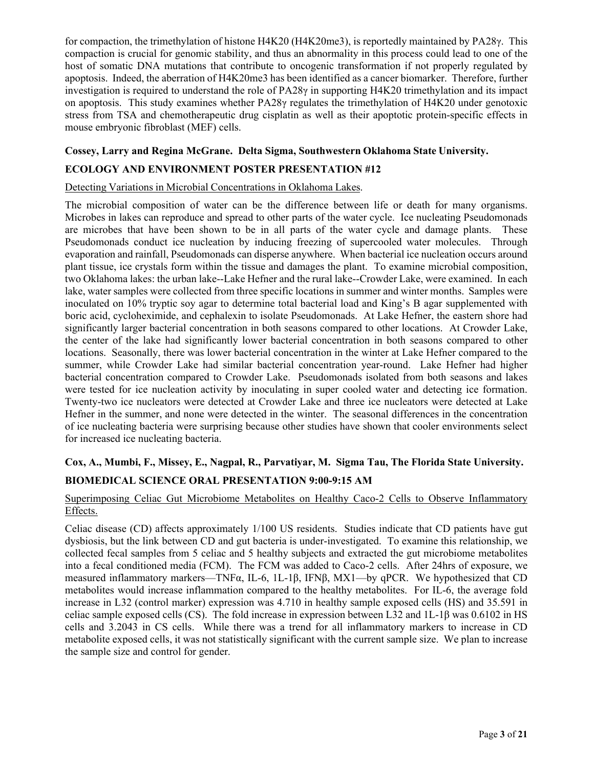for compaction, the trimethylation of histone H4K20 (H4K20me3), is reportedly maintained by PA28γ. This compaction is crucial for genomic stability, and thus an abnormality in this process could lead to one of the host of somatic DNA mutations that contribute to oncogenic transformation if not properly regulated by apoptosis. Indeed, the aberration of H4K20me3 has been identified as a cancer biomarker. Therefore, further investigation is required to understand the role of PA28γ in supporting H4K20 trimethylation and its impact on apoptosis. This study examines whether PA28γ regulates the trimethylation of H4K20 under genotoxic stress from TSA and chemotherapeutic drug cisplatin as well as their apoptotic protein-specific effects in mouse embryonic fibroblast (MEF) cells.

# **Cossey, Larry and Regina McGrane. Delta Sigma, Southwestern Oklahoma State University. ECOLOGY AND ENVIRONMENT POSTER PRESENTATION #12**

#### Detecting Variations in Microbial Concentrations in Oklahoma Lakes.

The microbial composition of water can be the difference between life or death for many organisms. Microbes in lakes can reproduce and spread to other parts of the water cycle. Ice nucleating Pseudomonads are microbes that have been shown to be in all parts of the water cycle and damage plants. These Pseudomonads conduct ice nucleation by inducing freezing of supercooled water molecules. Through evaporation and rainfall, Pseudomonads can disperse anywhere. When bacterial ice nucleation occurs around plant tissue, ice crystals form within the tissue and damages the plant. To examine microbial composition, two Oklahoma lakes: the urban lake--Lake Hefner and the rural lake--Crowder Lake, were examined. In each lake, water samples were collected from three specific locations in summer and winter months. Samples were inoculated on 10% tryptic soy agar to determine total bacterial load and King's B agar supplemented with boric acid, cycloheximide, and cephalexin to isolate Pseudomonads. At Lake Hefner, the eastern shore had significantly larger bacterial concentration in both seasons compared to other locations. At Crowder Lake, the center of the lake had significantly lower bacterial concentration in both seasons compared to other locations. Seasonally, there was lower bacterial concentration in the winter at Lake Hefner compared to the summer, while Crowder Lake had similar bacterial concentration year-round. Lake Hefner had higher bacterial concentration compared to Crowder Lake. Pseudomonads isolated from both seasons and lakes were tested for ice nucleation activity by inoculating in super cooled water and detecting ice formation. Twenty-two ice nucleators were detected at Crowder Lake and three ice nucleators were detected at Lake Hefner in the summer, and none were detected in the winter. The seasonal differences in the concentration of ice nucleating bacteria were surprising because other studies have shown that cooler environments select for increased ice nucleating bacteria.

# **Cox, A., Mumbi, F., Missey, E., Nagpal, R., Parvatiyar, M. Sigma Tau, The Florida State University. BIOMEDICAL SCIENCE ORAL PRESENTATION 9:00-9:15 AM**

### Superimposing Celiac Gut Microbiome Metabolites on Healthy Caco-2 Cells to Observe Inflammatory Effects.

Celiac disease (CD) affects approximately 1/100 US residents. Studies indicate that CD patients have gut dysbiosis, but the link between CD and gut bacteria is under-investigated. To examine this relationship, we collected fecal samples from 5 celiac and 5 healthy subjects and extracted the gut microbiome metabolites into a fecal conditioned media (FCM). The FCM was added to Caco-2 cells. After 24hrs of exposure, we measured inflammatory markers—TNFα, IL-6, 1L-1β, IFNβ, MX1—by qPCR. We hypothesized that CD metabolites would increase inflammation compared to the healthy metabolites. For IL-6, the average fold increase in L32 (control marker) expression was 4.710 in healthy sample exposed cells (HS) and 35.591 in celiac sample exposed cells (CS). The fold increase in expression between L32 and 1L-1β was 0.6102 in HS cells and 3.2043 in CS cells. While there was a trend for all inflammatory markers to increase in CD metabolite exposed cells, it was not statistically significant with the current sample size. We plan to increase the sample size and control for gender.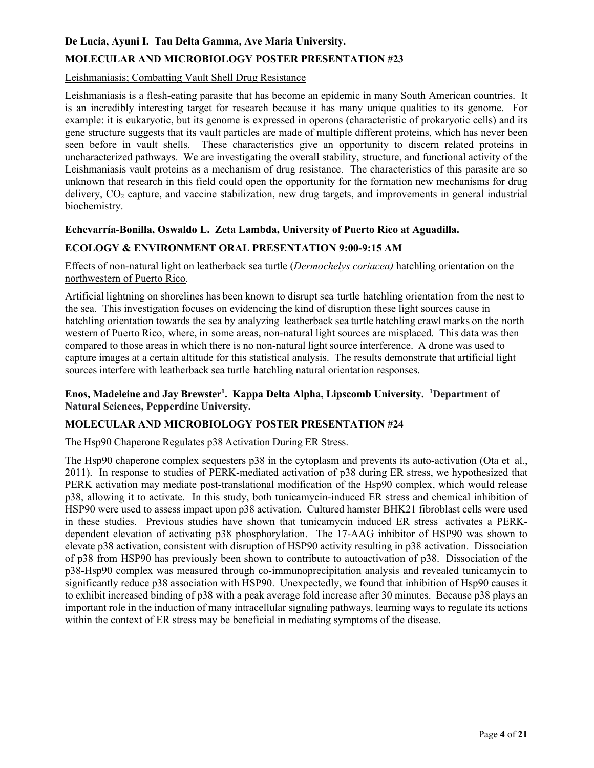### **De Lucia, Ayuni I. Tau Delta Gamma, Ave Maria University.**

#### **MOLECULAR AND MICROBIOLOGY POSTER PRESENTATION #23**

#### Leishmaniasis; Combatting Vault Shell Drug Resistance

Leishmaniasis is a flesh-eating parasite that has become an epidemic in many South American countries. It is an incredibly interesting target for research because it has many unique qualities to its genome. For example: it is eukaryotic, but its genome is expressed in operons (characteristic of prokaryotic cells) and its gene structure suggests that its vault particles are made of multiple different proteins, which has never been seen before in vault shells. These characteristics give an opportunity to discern related proteins in uncharacterized pathways. We are investigating the overall stability, structure, and functional activity of the Leishmaniasis vault proteins as a mechanism of drug resistance. The characteristics of this parasite are so unknown that research in this field could open the opportunity for the formation new mechanisms for drug delivery,  $CO_2$  capture, and vaccine stabilization, new drug targets, and improvements in general industrial biochemistry.

#### **Echevarría-Bonilla, Oswaldo L. Zeta Lambda, University of Puerto Rico at Aguadilla.**

# **ECOLOGY & ENVIRONMENT ORAL PRESENTATION 9:00-9:15 AM**

Effects of non-natural light on leatherback sea turtle (*Dermochelys coriacea)* hatchling orientation on the northwestern of Puerto Rico.

Artificial lightning on shorelines has been known to disrupt sea turtle hatchling orientation from the nest to the sea. This investigation focuses on evidencing the kind of disruption these light sources cause in hatchling orientation towards the sea by analyzing leatherback sea turtle hatchling crawl marks on the north western of Puerto Rico, where, in some areas, non-natural light sources are misplaced. This data was then compared to those areas in which there is no non-natural light source interference. A drone was used to capture images at a certain altitude for this statistical analysis. The results demonstrate that artificial light sources interfere with leatherback sea turtle hatchling natural orientation responses.

#### Enos, Madeleine and Jay Brewster<sup>1</sup>. Kappa Delta Alpha, Lipscomb University. <sup>1</sup>Department of **Natural Sciences, Pepperdine University.**

# **MOLECULAR AND MICROBIOLOGY POSTER PRESENTATION #24**

#### The Hsp90 Chaperone Regulates p38 Activation During ER Stress.

The Hsp90 chaperone complex sequesters p38 in the cytoplasm and prevents its auto-activation (Ota et al., 2011). In response to studies of PERK-mediated activation of p38 during ER stress, we hypothesized that PERK activation may mediate post-translational modification of the Hsp90 complex, which would release p38, allowing it to activate. In this study, both tunicamycin-induced ER stress and chemical inhibition of HSP90 were used to assess impact upon p38 activation. Cultured hamster BHK21 fibroblast cells were used in these studies. Previous studies have shown that tunicamycin induced ER stress activates a PERKdependent elevation of activating p38 phosphorylation. The 17-AAG inhibitor of HSP90 was shown to elevate p38 activation, consistent with disruption of HSP90 activity resulting in p38 activation. Dissociation of p38 from HSP90 has previously been shown to contribute to autoactivation of p38. Dissociation of the p38-Hsp90 complex was measured through co-immunoprecipitation analysis and revealed tunicamycin to significantly reduce p38 association with HSP90. Unexpectedly, we found that inhibition of Hsp90 causes it to exhibit increased binding of p38 with a peak average fold increase after 30 minutes. Because p38 plays an important role in the induction of many intracellular signaling pathways, learning ways to regulate its actions within the context of ER stress may be beneficial in mediating symptoms of the disease.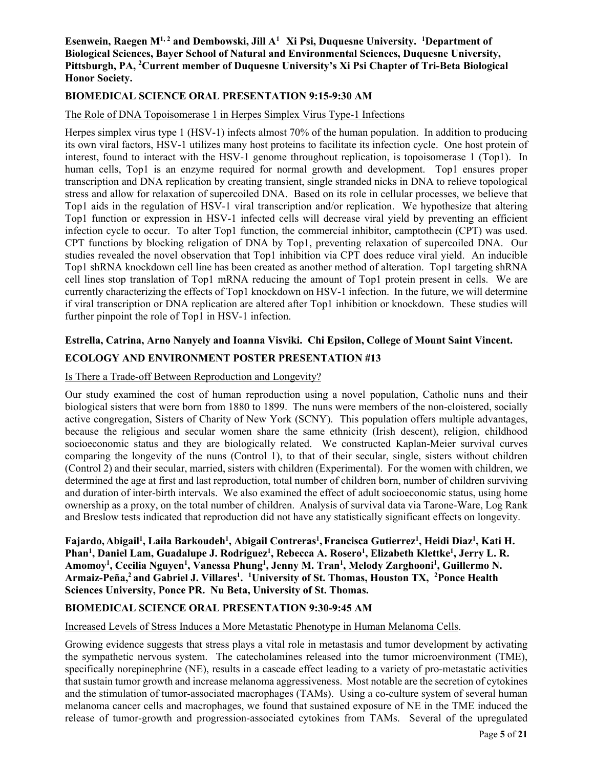#### Esenwein, Raegen M<sup>1, 2</sup> and Dembowski, Jill A<sup>1</sup> Xi Psi, Duquesne University. <sup>1</sup>Department of **Biological Sciences, Bayer School of Natural and Environmental Sciences, Duquesne University, Pittsburgh, PA, 2 Current member of Duquesne University's Xi Psi Chapter of Tri-Beta Biological Honor Society.**

# **BIOMEDICAL SCIENCE ORAL PRESENTATION 9:15-9:30 AM**

#### The Role of DNA Topoisomerase 1 in Herpes Simplex Virus Type-1 Infections

Herpes simplex virus type 1 (HSV-1) infects almost 70% of the human population. In addition to producing its own viral factors, HSV-1 utilizes many host proteins to facilitate its infection cycle. One host protein of interest, found to interact with the HSV-1 genome throughout replication, is topoisomerase 1 (Top1). In human cells, Top1 is an enzyme required for normal growth and development. Top1 ensures proper transcription and DNA replication by creating transient, single stranded nicks in DNA to relieve topological stress and allow for relaxation of supercoiled DNA. Based on its role in cellular processes, we believe that Top1 aids in the regulation of HSV-1 viral transcription and/or replication. We hypothesize that altering Top1 function or expression in HSV-1 infected cells will decrease viral yield by preventing an efficient infection cycle to occur. To alter Top1 function, the commercial inhibitor, camptothecin (CPT) was used. CPT functions by blocking religation of DNA by Top1, preventing relaxation of supercoiled DNA. Our studies revealed the novel observation that Top1 inhibition via CPT does reduce viral yield. An inducible Top1 shRNA knockdown cell line has been created as another method of alteration. Top1 targeting shRNA cell lines stop translation of Top1 mRNA reducing the amount of Top1 protein present in cells. We are currently characterizing the effects of Top1 knockdown on HSV-1 infection. In the future, we will determine if viral transcription or DNA replication are altered after Top1 inhibition or knockdown. These studies will further pinpoint the role of Top1 in HSV-1 infection.

#### **Estrella, Catrina, Arno Nanyely and Ioanna Visviki. Chi Epsilon, College of Mount Saint Vincent.**

#### **ECOLOGY AND ENVIRONMENT POSTER PRESENTATION #13**

#### Is There a Trade-off Between Reproduction and Longevity?

Our study examined the cost of human reproduction using a novel population, Catholic nuns and their biological sisters that were born from 1880 to 1899. The nuns were members of the non-cloistered, socially active congregation, Sisters of Charity of New York (SCNY). This population offers multiple advantages, because the religious and secular women share the same ethnicity (Irish descent), religion, childhood socioeconomic status and they are biologically related. We constructed Kaplan-Meier survival curves comparing the longevity of the nuns (Control 1), to that of their secular, single, sisters without children (Control 2) and their secular, married, sisters with children (Experimental). For the women with children, we determined the age at first and last reproduction, total number of children born, number of children surviving and duration of inter-birth intervals. We also examined the effect of adult socioeconomic status, using home ownership as a proxy, on the total number of children. Analysis of survival data via Tarone-Ware, Log Rank and Breslow tests indicated that reproduction did not have any statistically significant effects on longevity.

**Fajardo, Abigail1 , Laila Barkoudeh1 , Abigail Contreras1 , Francisca Gutierrez1 , Heidi Diaz1 , Kati H.**  Phan<sup>1</sup>, Daniel Lam, Guadalupe J. Rodriguez<sup>1</sup>, Rebecca A. Rosero<sup>1</sup>, Elizabeth Klettke<sup>1</sup>, Jerry L. R. Amomoy<sup>1</sup>, Cecilia Nguyen<sup>1</sup>, Vanessa Phung<sup>1</sup>, Jenny M. Tran<sup>1</sup>, Melody Zarghooni<sup>1</sup>, Guillermo N. Armaiz-Peña,<sup>2</sup> and Gabriel J. Villares<sup>1</sup>. <sup>1</sup>University of St. Thomas, Houston TX, <sup>2</sup>Ponce Health **Sciences University, Ponce PR. Nu Beta, University of St. Thomas.** 

# **BIOMEDICAL SCIENCE ORAL PRESENTATION 9:30-9:45 AM**

#### Increased Levels of Stress Induces a More Metastatic Phenotype in Human Melanoma Cells.

Growing evidence suggests that stress plays a vital role in metastasis and tumor development by activating the sympathetic nervous system. The catecholamines released into the tumor microenvironment (TME), specifically norepinephrine (NE), results in a cascade effect leading to a variety of pro-metastatic activities that sustain tumor growth and increase melanoma aggressiveness. Most notable are the secretion of cytokines and the stimulation of tumor-associated macrophages (TAMs). Using a co-culture system of several human melanoma cancer cells and macrophages, we found that sustained exposure of NE in the TME induced the release of tumor-growth and progression-associated cytokines from TAMs. Several of the upregulated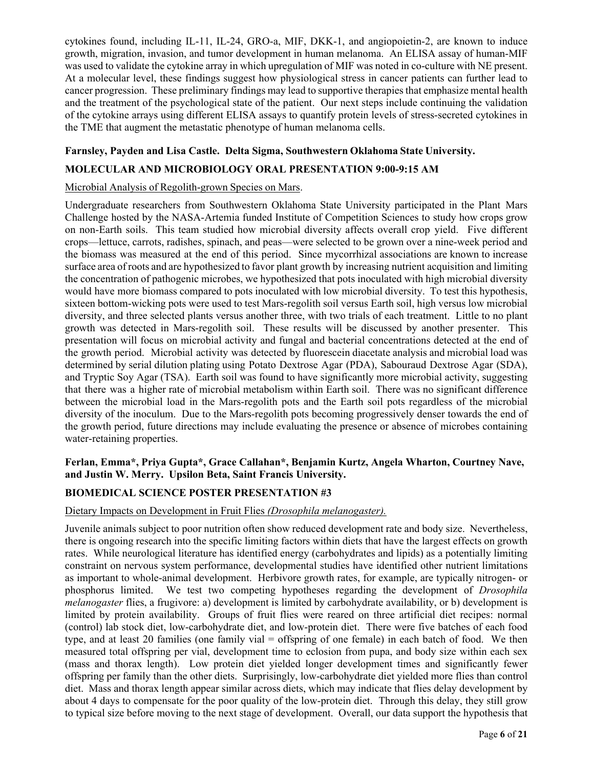cytokines found, including IL-11, IL-24, GRO-a, MIF, DKK-1, and angiopoietin-2, are known to induce growth, migration, invasion, and tumor development in human melanoma. An ELISA assay of human-MIF was used to validate the cytokine array in which upregulation of MIF was noted in co-culture with NE present. At a molecular level, these findings suggest how physiological stress in cancer patients can further lead to cancer progression. These preliminary findings may lead to supportive therapies that emphasize mental health and the treatment of the psychological state of the patient. Our next steps include continuing the validation of the cytokine arrays using different ELISA assays to quantify protein levels of stress-secreted cytokines in the TME that augment the metastatic phenotype of human melanoma cells.

# **Farnsley, Payden and Lisa Castle. Delta Sigma, Southwestern Oklahoma State University. MOLECULAR AND MICROBIOLOGY ORAL PRESENTATION 9:00-9:15 AM**

# Microbial Analysis of Regolith-grown Species on Mars.

Undergraduate researchers from Southwestern Oklahoma State University participated in the Plant Mars Challenge hosted by the NASA-Artemia funded Institute of Competition Sciences to study how crops grow on non-Earth soils. This team studied how microbial diversity affects overall crop yield. Five different crops—lettuce, carrots, radishes, spinach, and peas—were selected to be grown over a nine-week period and the biomass was measured at the end of this period. Since mycorrhizal associations are known to increase surface area of roots and are hypothesized to favor plant growth by increasing nutrient acquisition and limiting the concentration of pathogenic microbes, we hypothesized that pots inoculated with high microbial diversity would have more biomass compared to pots inoculated with low microbial diversity. To test this hypothesis, sixteen bottom-wicking pots were used to test Mars-regolith soil versus Earth soil, high versus low microbial diversity, and three selected plants versus another three, with two trials of each treatment. Little to no plant growth was detected in Mars-regolith soil. These results will be discussed by another presenter. This presentation will focus on microbial activity and fungal and bacterial concentrations detected at the end of the growth period. Microbial activity was detected by fluorescein diacetate analysis and microbial load was determined by serial dilution plating using Potato Dextrose Agar (PDA), Sabouraud Dextrose Agar (SDA), and Tryptic Soy Agar (TSA). Earth soil was found to have significantly more microbial activity, suggesting that there was a higher rate of microbial metabolism within Earth soil. There was no significant difference between the microbial load in the Mars-regolith pots and the Earth soil pots regardless of the microbial diversity of the inoculum. Due to the Mars-regolith pots becoming progressively denser towards the end of the growth period, future directions may include evaluating the presence or absence of microbes containing water-retaining properties.

### **Ferlan, Emma\*, Priya Gupta\*, Grace Callahan\*, Benjamin Kurtz, Angela Wharton, Courtney Nave, and Justin W. Merry. Upsilon Beta, Saint Francis University.**

#### **BIOMEDICAL SCIENCE POSTER PRESENTATION #3**

#### Dietary Impacts on Development in Fruit Flies *(Drosophila melanogaster).*

Juvenile animals subject to poor nutrition often show reduced development rate and body size. Nevertheless, there is ongoing research into the specific limiting factors within diets that have the largest effects on growth rates. While neurological literature has identified energy (carbohydrates and lipids) as a potentially limiting constraint on nervous system performance, developmental studies have identified other nutrient limitations as important to whole-animal development. Herbivore growth rates, for example, are typically nitrogen- or phosphorus limited. We test two competing hypotheses regarding the development of *Drosophila melanogaster* flies, a frugivore: a) development is limited by carbohydrate availability, or b) development is limited by protein availability. Groups of fruit flies were reared on three artificial diet recipes: normal (control) lab stock diet, low-carbohydrate diet, and low-protein diet. There were five batches of each food type, and at least 20 families (one family vial = offspring of one female) in each batch of food. We then measured total offspring per vial, development time to eclosion from pupa, and body size within each sex (mass and thorax length). Low protein diet yielded longer development times and significantly fewer offspring per family than the other diets. Surprisingly, low-carbohydrate diet yielded more flies than control diet. Mass and thorax length appear similar across diets, which may indicate that flies delay development by about 4 days to compensate for the poor quality of the low-protein diet. Through this delay, they still grow to typical size before moving to the next stage of development. Overall, our data support the hypothesis that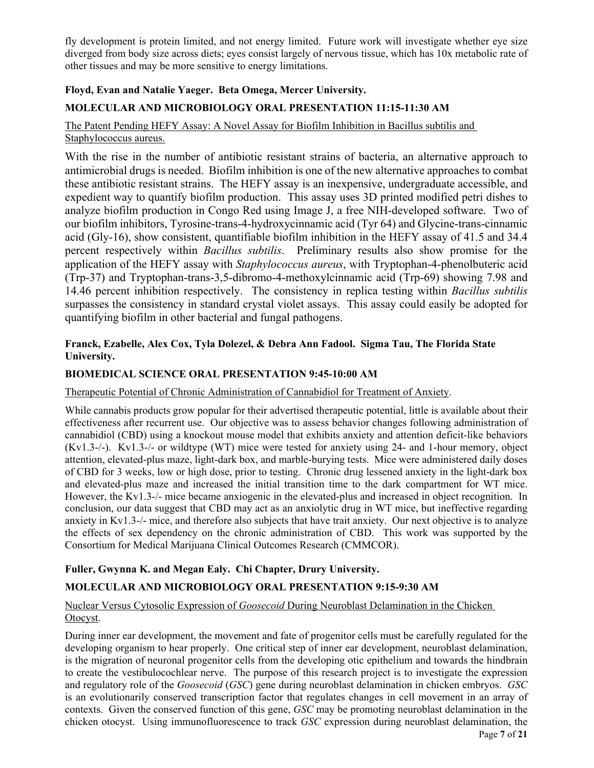fly development is protein limited, and not energy limited. Future work will investigate whether eye size diverged from body size across diets; eyes consist largely of nervous tissue, which has 10x metabolic rate of other tissues and may be more sensitive to energy limitations.

# **Floyd, Evan and Natalie Yaeger. Beta Omega, Mercer University.**

# **MOLECULAR AND MICROBIOLOGY ORAL PRESENTATION 11:15-11:30 AM**

# The Patent Pending HEFY Assay: A Novel Assay for Biofilm Inhibition in Bacillus subtilis and Staphylococcus aureus.

With the rise in the number of antibiotic resistant strains of bacteria, an alternative approach to antimicrobial drugs is needed. Biofilm inhibition is one of the new alternative approaches to combat these antibiotic resistant strains. The HEFY assay is an inexpensive, undergraduate accessible, and expedient way to quantify biofilm production. This assay uses 3D printed modified petri dishes to analyze biofilm production in Congo Red using Image J, a free NIH-developed software. Two of our biofilm inhibitors, Tyrosine-trans-4-hydroxycinnamic acid (Tyr 64) and Glycine-trans-cinnamic acid (Gly-16), show consistent, quantifiable biofilm inhibition in the HEFY assay of 41.5 and 34.4 percent respectively within *Bacillus subtilis*. Preliminary results also show promise for the application of the HEFY assay with *Staphylococcus aureus*, with Tryptophan-4-phenolbuteric acid (Trp-37) and Tryptophan-trans-3,5-dibromo-4-methoxylcinnamic acid (Trp-69) showing 7.98 and 14.46 percent inhibition respectively. The consistency in replica testing within *Bacillus subtilis* surpasses the consistency in standard crystal violet assays. This assay could easily be adopted for quantifying biofilm in other bacterial and fungal pathogens.

#### **Franck, Ezabelle, Alex Cox, Tyla Dolezel, & Debra Ann Fadool. Sigma Tau, The Florida State University.**

### **BIOMEDICAL SCIENCE ORAL PRESENTATION 9:45-10:00 AM**

#### Therapeutic Potential of Chronic Administration of Cannabidiol for Treatment of Anxiety.

While cannabis products grow popular for their advertised therapeutic potential, little is available about their effectiveness after recurrent use. Our objective was to assess behavior changes following administration of cannabidiol (CBD) using a knockout mouse model that exhibits anxiety and attention deficit-like behaviors (Kv1.3-/-). Kv1.3-/- or wildtype (WT) mice were tested for anxiety using 24- and 1-hour memory, object attention, elevated-plus maze, light-dark box, and marble-burying tests. Mice were administered daily doses of CBD for 3 weeks, low or high dose, prior to testing. Chronic drug lessened anxiety in the light-dark box and elevated-plus maze and increased the initial transition time to the dark compartment for WT mice. However, the Kv1.3-/- mice became anxiogenic in the elevated-plus and increased in object recognition. In conclusion, our data suggest that CBD may act as an anxiolytic drug in WT mice, but ineffective regarding anxiety in Kv1.3-/- mice, and therefore also subjects that have trait anxiety. Our next objective is to analyze the effects of sex dependency on the chronic administration of CBD. This work was supported by the Consortium for Medical Marijuana Clinical Outcomes Research (CMMCOR).

# **Fuller, Gwynna K. and Megan Ealy. Chi Chapter, Drury University.**

# **MOLECULAR AND MICROBIOLOGY ORAL PRESENTATION 9:15-9:30 AM**

# Nuclear Versus Cytosolic Expression of *Goosecoid* During Neuroblast Delamination in the Chicken Otocyst.

During inner ear development, the movement and fate of progenitor cells must be carefully regulated for the developing organism to hear properly. One critical step of inner ear development, neuroblast delamination, is the migration of neuronal progenitor cells from the developing otic epithelium and towards the hindbrain to create the vestibulocochlear nerve. The purpose of this research project is to investigate the expression and regulatory role of the *Goosecoid* (*GSC*) gene during neuroblast delamination in chicken embryos. *GSC* is an evolutionarily conserved transcription factor that regulates changes in cell movement in an array of contexts. Given the conserved function of this gene, *GSC* may be promoting neuroblast delamination in the chicken otocyst. Using immunofluorescence to track *GSC* expression during neuroblast delamination, the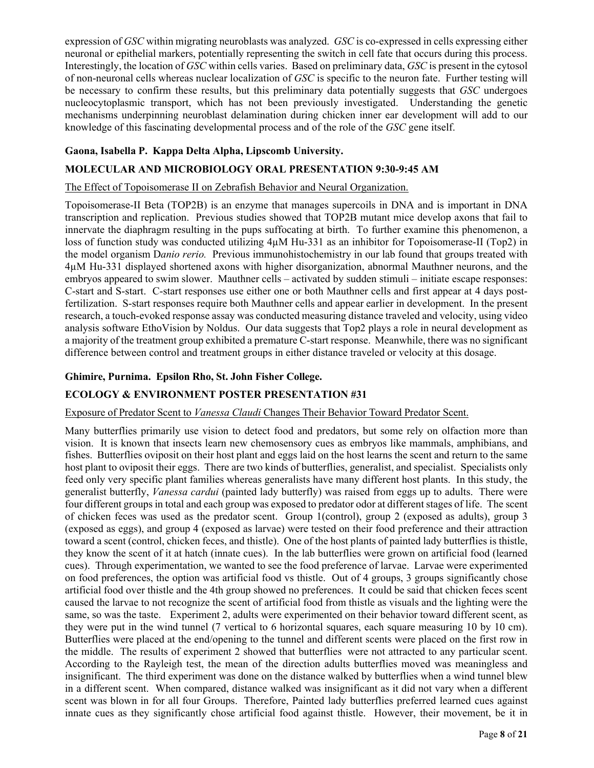expression of *GSC* within migrating neuroblasts was analyzed. *GSC* is co-expressed in cells expressing either neuronal or epithelial markers, potentially representing the switch in cell fate that occurs during this process. Interestingly, the location of *GSC* within cells varies. Based on preliminary data, *GSC* is present in the cytosol of non-neuronal cells whereas nuclear localization of *GSC* is specific to the neuron fate. Further testing will be necessary to confirm these results, but this preliminary data potentially suggests that *GSC* undergoes nucleocytoplasmic transport, which has not been previously investigated. Understanding the genetic mechanisms underpinning neuroblast delamination during chicken inner ear development will add to our knowledge of this fascinating developmental process and of the role of the *GSC* gene itself.

# **Gaona, Isabella P. Kappa Delta Alpha, Lipscomb University.**

### **MOLECULAR AND MICROBIOLOGY ORAL PRESENTATION 9:30-9:45 AM**

#### The Effect of Topoisomerase II on Zebrafish Behavior and Neural Organization.

Topoisomerase-II Beta (TOP2B) is an enzyme that manages supercoils in DNA and is important in DNA transcription and replication. Previous studies showed that TOP2B mutant mice develop axons that fail to innervate the diaphragm resulting in the pups suffocating at birth. To further examine this phenomenon, a loss of function study was conducted utilizing 4µM Hu-331 as an inhibitor for Topoisomerase-II (Top2) in the model organism D*anio rerio.* Previous immunohistochemistry in our lab found that groups treated with 4µM Hu-331 displayed shortened axons with higher disorganization, abnormal Mauthner neurons, and the embryos appeared to swim slower. Mauthner cells – activated by sudden stimuli – initiate escape responses: C-start and S-start. C-start responses use either one or both Mauthner cells and first appear at 4 days postfertilization. S-start responses require both Mauthner cells and appear earlier in development. In the present research, a touch-evoked response assay was conducted measuring distance traveled and velocity, using video analysis software EthoVision by Noldus. Our data suggests that Top2 plays a role in neural development as a majority of the treatment group exhibited a premature C-start response. Meanwhile, there was no significant difference between control and treatment groups in either distance traveled or velocity at this dosage.

### **Ghimire, Purnima. Epsilon Rho, St. John Fisher College.**

# **ECOLOGY & ENVIRONMENT POSTER PRESENTATION #31**

#### Exposure of Predator Scent to *Vanessa Claudi* Changes Their Behavior Toward Predator Scent.

Many butterflies primarily use vision to detect food and predators, but some rely on olfaction more than vision. It is known that insects learn new chemosensory cues as embryos like mammals, amphibians, and fishes. Butterflies oviposit on their host plant and eggs laid on the host learns the scent and return to the same host plant to oviposit their eggs. There are two kinds of butterflies, generalist, and specialist. Specialists only feed only very specific plant families whereas generalists have many different host plants. In this study, the generalist butterfly, *Vanessa cardui* (painted lady butterfly) was raised from eggs up to adults. There were four different groups in total and each group was exposed to predator odor at different stages of life. The scent of chicken feces was used as the predator scent. Group 1(control), group 2 (exposed as adults), group 3 (exposed as eggs), and group 4 (exposed as larvae) were tested on their food preference and their attraction toward a scent (control, chicken feces, and thistle). One of the host plants of painted lady butterflies is thistle, they know the scent of it at hatch (innate cues). In the lab butterflies were grown on artificial food (learned cues). Through experimentation, we wanted to see the food preference of larvae. Larvae were experimented on food preferences, the option was artificial food vs thistle. Out of 4 groups, 3 groups significantly chose artificial food over thistle and the 4th group showed no preferences. It could be said that chicken feces scent caused the larvae to not recognize the scent of artificial food from thistle as visuals and the lighting were the same, so was the taste. Experiment 2, adults were experimented on their behavior toward different scent, as they were put in the wind tunnel (7 vertical to 6 horizontal squares, each square measuring 10 by 10 cm). Butterflies were placed at the end/opening to the tunnel and different scents were placed on the first row in the middle. The results of experiment 2 showed that butterflies were not attracted to any particular scent. According to the Rayleigh test, the mean of the direction adults butterflies moved was meaningless and insignificant. The third experiment was done on the distance walked by butterflies when a wind tunnel blew in a different scent. When compared, distance walked was insignificant as it did not vary when a different scent was blown in for all four Groups. Therefore, Painted lady butterflies preferred learned cues against innate cues as they significantly chose artificial food against thistle. However, their movement, be it in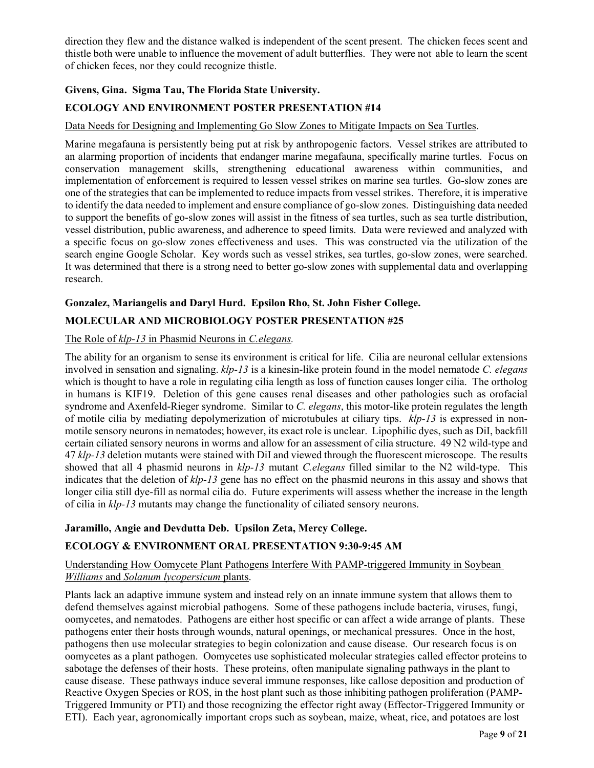direction they flew and the distance walked is independent of the scent present. The chicken feces scent and thistle both were unable to influence the movement of adult butterflies. They were not able to learn the scent of chicken feces, nor they could recognize thistle.

# **Givens, Gina. Sigma Tau, The Florida State University.**

# **ECOLOGY AND ENVIRONMENT POSTER PRESENTATION #14**

### Data Needs for Designing and Implementing Go Slow Zones to Mitigate Impacts on Sea Turtles.

Marine megafauna is persistently being put at risk by anthropogenic factors. Vessel strikes are attributed to an alarming proportion of incidents that endanger marine megafauna, specifically marine turtles. Focus on conservation management skills, strengthening educational awareness within communities, and implementation of enforcement is required to lessen vessel strikes on marine sea turtles. Go-slow zones are one of the strategies that can be implemented to reduce impacts from vessel strikes. Therefore, it is imperative to identify the data needed to implement and ensure compliance of go-slow zones. Distinguishing data needed to support the benefits of go-slow zones will assist in the fitness of sea turtles, such as sea turtle distribution, vessel distribution, public awareness, and adherence to speed limits. Data were reviewed and analyzed with a specific focus on go-slow zones effectiveness and uses. This was constructed via the utilization of the search engine Google Scholar. Key words such as vessel strikes, sea turtles, go-slow zones, were searched. It was determined that there is a strong need to better go-slow zones with supplemental data and overlapping research.

# **Gonzalez, Mariangelis and Daryl Hurd. Epsilon Rho, St. John Fisher College.**

# **MOLECULAR AND MICROBIOLOGY POSTER PRESENTATION #25**

#### The Role of *klp-13* in Phasmid Neurons in *C.elegans.*

The ability for an organism to sense its environment is critical for life. Cilia are neuronal cellular extensions involved in sensation and signaling. *klp-13* is a kinesin-like protein found in the model nematode *C. elegans* which is thought to have a role in regulating cilia length as loss of function causes longer cilia. The ortholog in humans is KIF19. Deletion of this gene causes renal diseases and other pathologies such as orofacial syndrome and Axenfeld-Rieger syndrome. Similar to *C. elegans*, this motor-like protein regulates the length of motile cilia by mediating depolymerization of microtubules at ciliary tips. *klp-13* is expressed in nonmotile sensory neurons in nematodes; however, its exact role is unclear. Lipophilic dyes, such as DiI, backfill certain ciliated sensory neurons in worms and allow for an assessment of cilia structure. 49 N2 wild-type and 47 *klp-13* deletion mutants were stained with DiI and viewed through the fluorescent microscope. The results showed that all 4 phasmid neurons in *klp-13* mutant *C.elegans* filled similar to the N2 wild-type. This indicates that the deletion of *klp-13* gene has no effect on the phasmid neurons in this assay and shows that longer cilia still dye-fill as normal cilia do. Future experiments will assess whether the increase in the length of cilia in *klp-13* mutants may change the functionality of ciliated sensory neurons.

#### **Jaramillo, Angie and Devdutta Deb. Upsilon Zeta, Mercy College.**

# **ECOLOGY & ENVIRONMENT ORAL PRESENTATION 9:30-9:45 AM**

#### Understanding How Oomycete Plant Pathogens Interfere With PAMP-triggered Immunity in Soybean *Williams* and *Solanum lycopersicum* plants.

Plants lack an adaptive immune system and instead rely on an innate immune system that allows them to defend themselves against microbial pathogens. Some of these pathogens include bacteria, viruses, fungi, oomycetes, and nematodes. Pathogens are either host specific or can affect a wide arrange of plants. These pathogens enter their hosts through wounds, natural openings, or mechanical pressures. Once in the host, pathogens then use molecular strategies to begin colonization and cause disease. Our research focus is on oomycetes as a plant pathogen. Oomycetes use sophisticated molecular strategies called effector proteins to sabotage the defenses of their hosts. These proteins, often manipulate signaling pathways in the plant to cause disease. These pathways induce several immune responses, like callose deposition and production of Reactive Oxygen Species or ROS, in the host plant such as those inhibiting pathogen proliferation (PAMP-Triggered Immunity or PTI) and those recognizing the effector right away (Effector-Triggered Immunity or ETI). Each year, agronomically important crops such as soybean, maize, wheat, rice, and potatoes are lost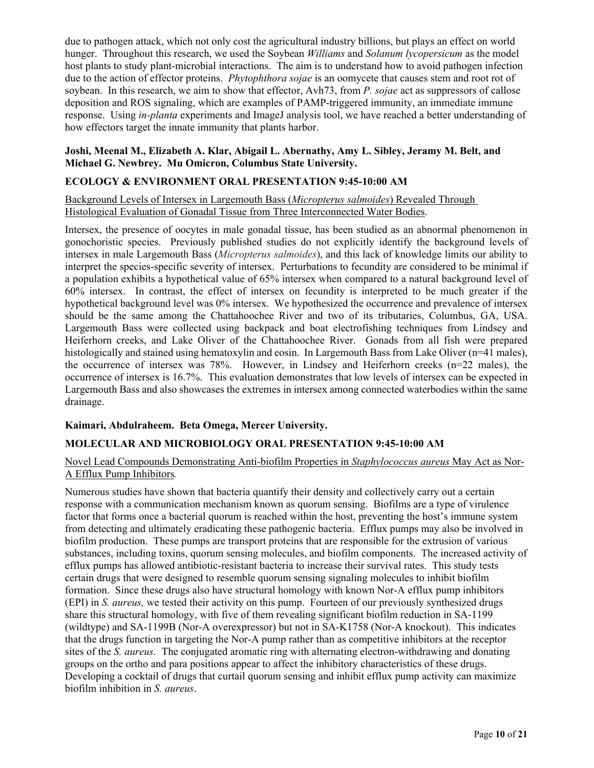due to pathogen attack, which not only cost the agricultural industry billions, but plays an effect on world hunger. Throughout this research, we used the Soybean *Williams* and *Solanum lycopersicum* as the model host plants to study plant-microbial interactions. The aim is to understand how to avoid pathogen infection due to the action of effector proteins. *Phytophthora sojae* is an oomycete that causes stem and root rot of soybean. In this research, we aim to show that effector, Avh73, from *P. sojae* act as suppressors of callose deposition and ROS signaling, which are examples of PAMP-triggered immunity, an immediate immune response. Using *in-planta* experiments and ImageJ analysis tool, we have reached a better understanding of how effectors target the innate immunity that plants harbor.

#### **Joshi, Meenal M., Elizabeth A. Klar, Abigail L. Abernathy, Amy L. Sibley, Jeramy M. Belt, and Michael G. Newbrey. Mu Omicron, Columbus State University.**

#### **ECOLOGY & ENVIRONMENT ORAL PRESENTATION 9:45-10:00 AM**

Background Levels of Intersex in Largemouth Bass (*Micropterus salmoides*) Revealed Through Histological Evaluation of Gonadal Tissue from Three Interconnected Water Bodies.

Intersex, the presence of oocytes in male gonadal tissue, has been studied as an abnormal phenomenon in gonochoristic species. Previously published studies do not explicitly identify the background levels of intersex in male Largemouth Bass (*Micropterus salmoides*), and this lack of knowledge limits our ability to interpret the species-specific severity of intersex. Perturbations to fecundity are considered to be minimal if a population exhibits a hypothetical value of 65% intersex when compared to a natural background level of 60% intersex. In contrast, the effect of intersex on fecundity is interpreted to be much greater if the hypothetical background level was 0% intersex. We hypothesized the occurrence and prevalence of intersex should be the same among the Chattahoochee River and two of its tributaries, Columbus, GA, USA. Largemouth Bass were collected using backpack and boat electrofishing techniques from Lindsey and Heiferhorn creeks, and Lake Oliver of the Chattahoochee River. Gonads from all fish were prepared histologically and stained using hematoxylin and eosin. In Largemouth Bass from Lake Oliver (n=41 males), the occurrence of intersex was 78%. However, in Lindsey and Heiferhorn creeks ( $n=22$  males), the occurrence of intersex is 16.7%. This evaluation demonstrates that low levels of intersex can be expected in Largemouth Bass and also showcases the extremes in intersex among connected waterbodies within the same drainage.

# **Kaimari, Abdulraheem. Beta Omega, Mercer University.**

#### **MOLECULAR AND MICROBIOLOGY ORAL PRESENTATION 9:45-10:00 AM**

#### Novel Lead Compounds Demonstrating Anti-biofilm Properties in *Staphylococcus aureus* May Act as Nor-A Efflux Pump Inhibitors*.*

Numerous studies have shown that bacteria quantify their density and collectively carry out a certain response with a communication mechanism known as quorum sensing. Biofilms are a type of virulence factor that forms once a bacterial quorum is reached within the host, preventing the host's immune system from detecting and ultimately eradicating these pathogenic bacteria. Efflux pumps may also be involved in biofilm production. These pumps are transport proteins that are responsible for the extrusion of various substances, including toxins, quorum sensing molecules, and biofilm components. The increased activity of efflux pumps has allowed antibiotic-resistant bacteria to increase their survival rates. This study tests certain drugs that were designed to resemble quorum sensing signaling molecules to inhibit biofilm formation. Since these drugs also have structural homology with known Nor-A efflux pump inhibitors (EPI) in *S. aureus,* we tested their activity on this pump. Fourteen of our previously synthesized drugs share this structural homology, with five of them revealing significant biofilm reduction in SA-1199 (wildtype) and SA-1199B (Nor-A overexpressor) but not in SA-K1758 (Nor-A knockout). This indicates that the drugs function in targeting the Nor-A pump rather than as competitive inhibitors at the receptor sites of the *S. aureus.* The conjugated aromatic ring with alternating electron-withdrawing and donating groups on the ortho and para positions appear to affect the inhibitory characteristics of these drugs. Developing a cocktail of drugs that curtail quorum sensing and inhibit efflux pump activity can maximize biofilm inhibition in *S. aureus*.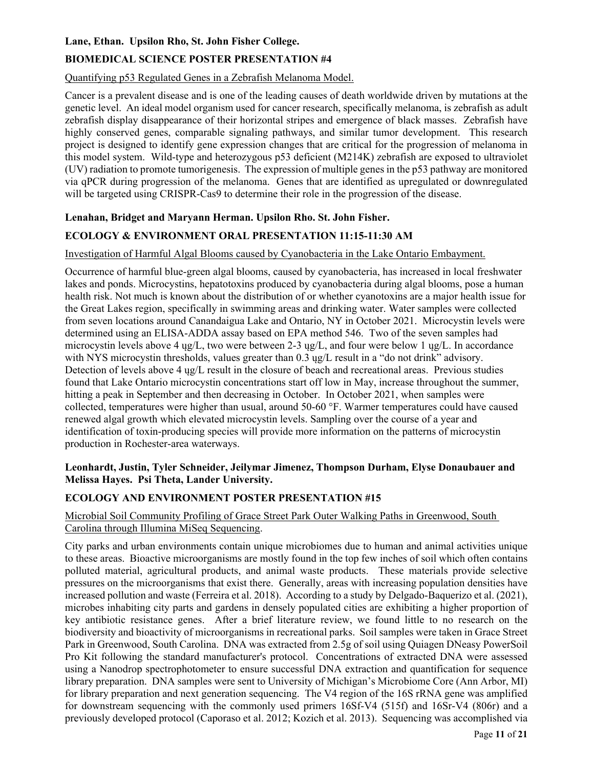#### **Lane, Ethan. Upsilon Rho, St. John Fisher College.**

# **BIOMEDICAL SCIENCE POSTER PRESENTATION #4**

# Quantifying p53 Regulated Genes in a Zebrafish Melanoma Model.

Cancer is a prevalent disease and is one of the leading causes of death worldwide driven by mutations at the genetic level. An ideal model organism used for cancer research, specifically melanoma, is zebrafish as adult zebrafish display disappearance of their horizontal stripes and emergence of black masses. Zebrafish have highly conserved genes, comparable signaling pathways, and similar tumor development. This research project is designed to identify gene expression changes that are critical for the progression of melanoma in this model system. Wild-type and heterozygous p53 deficient (M214K) zebrafish are exposed to ultraviolet (UV) radiation to promote tumorigenesis. The expression of multiple genes in the p53 pathway are monitored via qPCR during progression of the melanoma. Genes that are identified as upregulated or downregulated will be targeted using CRISPR-Cas9 to determine their role in the progression of the disease.

### **Lenahan, Bridget and Maryann Herman. Upsilon Rho. St. John Fisher.**

# **ECOLOGY & ENVIRONMENT ORAL PRESENTATION 11:15-11:30 AM**

#### Investigation of Harmful Algal Blooms caused by Cyanobacteria in the Lake Ontario Embayment.

Occurrence of harmful blue-green algal blooms, caused by cyanobacteria, has increased in local freshwater lakes and ponds. Microcystins, hepatotoxins produced by cyanobacteria during algal blooms, pose a human health risk. Not much is known about the distribution of or whether cyanotoxins are a major health issue for the Great Lakes region, specifically in swimming areas and drinking water. Water samples were collected from seven locations around Canandaigua Lake and Ontario, NY in October 2021. Microcystin levels were determined using an ELISA-ADDA assay based on EPA method 546. Two of the seven samples had microcystin levels above 4  $\mu$ g/L, two were between 2-3  $\mu$ g/L, and four were below 1  $\mu$ g/L. In accordance with NYS microcystin thresholds, values greater than 0.3 ug/L result in a "do not drink" advisory. Detection of levels above 4  $\mu$ g/L result in the closure of beach and recreational areas. Previous studies found that Lake Ontario microcystin concentrations start off low in May, increase throughout the summer, hitting a peak in September and then decreasing in October. In October 2021, when samples were collected, temperatures were higher than usual, around 50-60 °F. Warmer temperatures could have caused renewed algal growth which elevated microcystin levels. Sampling over the course of a year and identification of toxin-producing species will provide more information on the patterns of microcystin production in Rochester-area waterways.

#### **Leonhardt, Justin, Tyler Schneider, Jeilymar Jimenez, Thompson Durham, Elyse Donaubauer and Melissa Hayes. Psi Theta, Lander University.**

#### **ECOLOGY AND ENVIRONMENT POSTER PRESENTATION #15**

## Microbial Soil Community Profiling of Grace Street Park Outer Walking Paths in Greenwood, South Carolina through Illumina MiSeq Sequencing.

City parks and urban environments contain unique microbiomes due to human and animal activities unique to these areas. Bioactive microorganisms are mostly found in the top few inches of soil which often contains polluted material, agricultural products, and animal waste products. These materials provide selective pressures on the microorganisms that exist there. Generally, areas with increasing population densities have increased pollution and waste (Ferreira et al. 2018). According to a study by Delgado-Baquerizo et al. (2021), microbes inhabiting city parts and gardens in densely populated cities are exhibiting a higher proportion of key antibiotic resistance genes. After a brief literature review, we found little to no research on the biodiversity and bioactivity of microorganisms in recreational parks. Soil samples were taken in Grace Street Park in Greenwood, South Carolina. DNA was extracted from 2.5g of soil using Quiagen DNeasy PowerSoil Pro Kit following the standard manufacturer's protocol. Concentrations of extracted DNA were assessed using a Nanodrop spectrophotometer to ensure successful DNA extraction and quantification for sequence library preparation. DNA samples were sent to University of Michigan's Microbiome Core (Ann Arbor, MI) for library preparation and next generation sequencing. The V4 region of the 16S rRNA gene was amplified for downstream sequencing with the commonly used primers 16Sf-V4 (515f) and 16Sr-V4 (806r) and a previously developed protocol (Caporaso et al. 2012; Kozich et al. 2013). Sequencing was accomplished via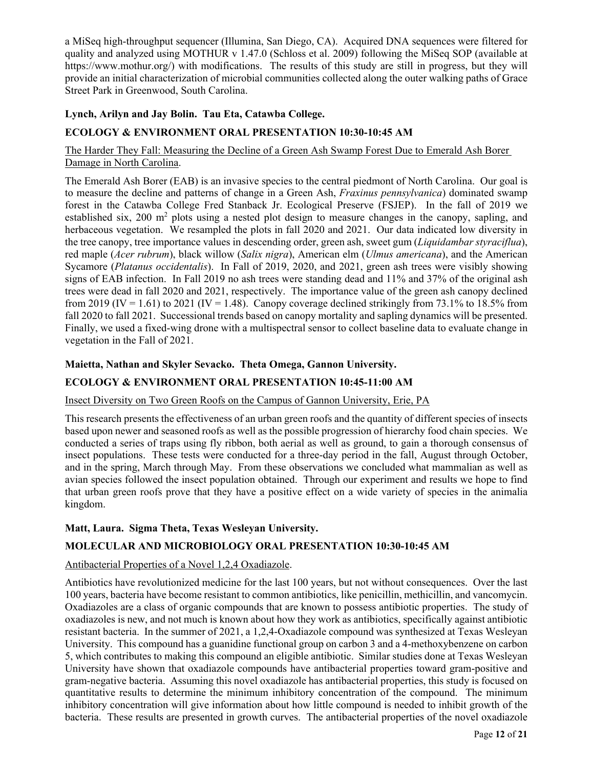a MiSeq high-throughput sequencer (Illumina, San Diego, CA). Acquired DNA sequences were filtered for quality and analyzed using MOTHUR v 1.47.0 (Schloss et al. 2009) following the MiSeq SOP (available at https://www.mothur.org/) with modifications. The results of this study are still in progress, but they will provide an initial characterization of microbial communities collected along the outer walking paths of Grace Street Park in Greenwood, South Carolina.

# **Lynch, Arilyn and Jay Bolin. Tau Eta, Catawba College.**

# **ECOLOGY & ENVIRONMENT ORAL PRESENTATION 10:30-10:45 AM**

### The Harder They Fall: Measuring the Decline of a Green Ash Swamp Forest Due to Emerald Ash Borer Damage in North Carolina.

The Emerald Ash Borer (EAB) is an invasive species to the central piedmont of North Carolina. Our goal is to measure the decline and patterns of change in a Green Ash, *Fraxinus pennsylvanica*) dominated swamp forest in the Catawba College Fred Stanback Jr. Ecological Preserve (FSJEP). In the fall of 2019 we established six,  $200 \text{ m}^2$  plots using a nested plot design to measure changes in the canopy, sapling, and herbaceous vegetation. We resampled the plots in fall 2020 and 2021. Our data indicated low diversity in the tree canopy, tree importance values in descending order, green ash, sweet gum (*Liquidambar styraciflua*), red maple (*Acer rubrum*), black willow (*Salix nigra*), American elm (*Ulmus americana*), and the American Sycamore (*Platanus occidentalis*). In Fall of 2019, 2020, and 2021, green ash trees were visibly showing signs of EAB infection. In Fall 2019 no ash trees were standing dead and 11% and 37% of the original ash trees were dead in fall 2020 and 2021, respectively. The importance value of the green ash canopy declined from 2019 (IV = 1.61) to 2021 (IV = 1.48). Canopy coverage declined strikingly from 73.1% to 18.5% from fall 2020 to fall 2021. Successional trends based on canopy mortality and sapling dynamics will be presented. Finally, we used a fixed-wing drone with a multispectral sensor to collect baseline data to evaluate change in vegetation in the Fall of 2021.

#### **Maietta, Nathan and Skyler Sevacko. Theta Omega, Gannon University.**

# **ECOLOGY & ENVIRONMENT ORAL PRESENTATION 10:45-11:00 AM**

#### Insect Diversity on Two Green Roofs on the Campus of Gannon University, Erie, PA

This research presents the effectiveness of an urban green roofs and the quantity of different species of insects based upon newer and seasoned roofs as well as the possible progression of hierarchy food chain species. We conducted a series of traps using fly ribbon, both aerial as well as ground, to gain a thorough consensus of insect populations. These tests were conducted for a three-day period in the fall, August through October, and in the spring, March through May. From these observations we concluded what mammalian as well as avian species followed the insect population obtained. Through our experiment and results we hope to find that urban green roofs prove that they have a positive effect on a wide variety of species in the animalia kingdom.

#### **Matt, Laura. Sigma Theta, Texas Wesleyan University.**

# **MOLECULAR AND MICROBIOLOGY ORAL PRESENTATION 10:30-10:45 AM**

# Antibacterial Properties of a Novel 1,2,4 Oxadiazole.

Antibiotics have revolutionized medicine for the last 100 years, but not without consequences. Over the last 100 years, bacteria have become resistant to common antibiotics, like penicillin, methicillin, and vancomycin. Oxadiazoles are a class of organic compounds that are known to possess antibiotic properties. The study of oxadiazoles is new, and not much is known about how they work as antibiotics, specifically against antibiotic resistant bacteria. In the summer of 2021, a 1,2,4-Oxadiazole compound was synthesized at Texas Wesleyan University. This compound has a guanidine functional group on carbon 3 and a 4-methoxybenzene on carbon 5, which contributes to making this compound an eligible antibiotic. Similar studies done at Texas Wesleyan University have shown that oxadiazole compounds have antibacterial properties toward gram-positive and gram-negative bacteria. Assuming this novel oxadiazole has antibacterial properties, this study is focused on quantitative results to determine the minimum inhibitory concentration of the compound. The minimum inhibitory concentration will give information about how little compound is needed to inhibit growth of the bacteria. These results are presented in growth curves. The antibacterial properties of the novel oxadiazole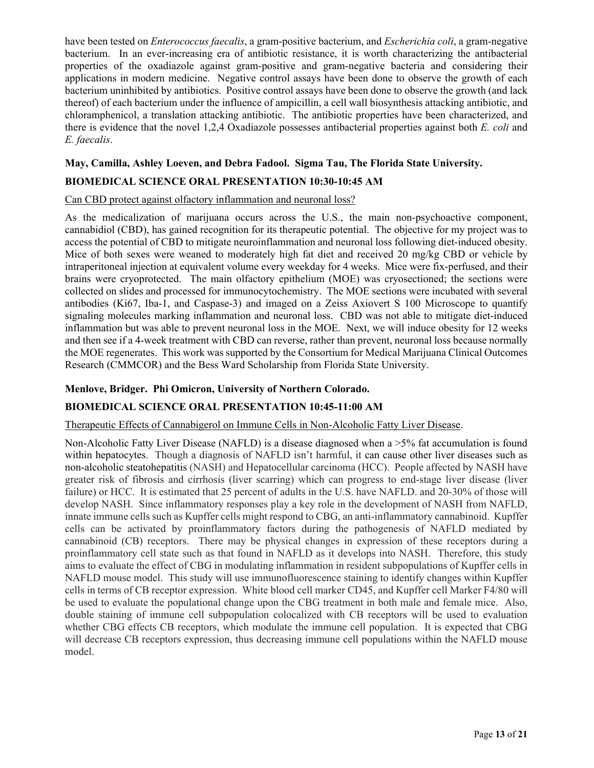have been tested on *Enterococcus faecalis*, a gram-positive bacterium, and *Escherichia coli*, a gram-negative bacterium. In an ever-increasing era of antibiotic resistance, it is worth characterizing the antibacterial properties of the oxadiazole against gram-positive and gram-negative bacteria and considering their applications in modern medicine. Negative control assays have been done to observe the growth of each bacterium uninhibited by antibiotics. Positive control assays have been done to observe the growth (and lack thereof) of each bacterium under the influence of ampicillin, a cell wall biosynthesis attacking antibiotic, and chloramphenicol, a translation attacking antibiotic. The antibiotic properties have been characterized, and there is evidence that the novel 1,2,4 Oxadiazole possesses antibacterial properties against both *E. coli* and *E. faecalis*.

# **May, Camilla, Ashley Loeven, and Debra Fadool. Sigma Tau, The Florida State University.**

# **BIOMEDICAL SCIENCE ORAL PRESENTATION 10:30-10:45 AM**

#### Can CBD protect against olfactory inflammation and neuronal loss?

As the medicalization of marijuana occurs across the U.S., the main non-psychoactive component, cannabidiol (CBD), has gained recognition for its therapeutic potential. The objective for my project was to access the potential of CBD to mitigate neuroinflammation and neuronal loss following diet-induced obesity. Mice of both sexes were weaned to moderately high fat diet and received 20 mg/kg CBD or vehicle by intraperitoneal injection at equivalent volume every weekday for 4 weeks. Mice were fix-perfused, and their brains were cryoprotected. The main olfactory epithelium (MOE) was cryosectioned; the sections were collected on slides and processed for immunocytochemistry. The MOE sections were incubated with several antibodies (Ki67, Iba-1, and Caspase-3) and imaged on a Zeiss Axiovert S 100 Microscope to quantify signaling molecules marking inflammation and neuronal loss. CBD was not able to mitigate diet-induced inflammation but was able to prevent neuronal loss in the MOE. Next, we will induce obesity for 12 weeks and then see if a 4-week treatment with CBD can reverse, rather than prevent, neuronal loss because normally the MOE regenerates. This work was supported by the Consortium for Medical Marijuana Clinical Outcomes Research (CMMCOR) and the Bess Ward Scholarship from Florida State University.

#### **Menlove, Bridger. Phi Omicron, University of Northern Colorado.**

#### **BIOMEDICAL SCIENCE ORAL PRESENTATION 10:45-11:00 AM**

#### Therapeutic Effects of Cannabigerol on Immune Cells in Non-Alcoholic Fatty Liver Disease.

Non-Alcoholic Fatty Liver Disease (NAFLD) is a disease diagnosed when a >5% fat accumulation is found within hepatocytes. Though a diagnosis of NAFLD isn't harmful, it can cause other liver diseases such as non-alcoholic steatohepatitis (NASH) and Hepatocellular carcinoma (HCC). People affected by NASH have greater risk of fibrosis and cirrhosis (liver scarring) which can progress to end-stage liver disease (liver failure) or HCC. It is estimated that 25 percent of adults in the U.S. have NAFLD. and 20-30% of those will develop NASH. Since inflammatory responses play a key role in the development of NASH from NAFLD, innate immune cells such as Kupffer cells might respond to CBG, an anti-inflammatory cannabinoid. Kupffer cells can be activated by proinflammatory factors during the pathogenesis of NAFLD mediated by cannabinoid (CB) receptors. There may be physical changes in expression of these receptors during a proinflammatory cell state such as that found in NAFLD as it develops into NASH. Therefore, this study aims to evaluate the effect of CBG in modulating inflammation in resident subpopulations of Kupffer cells in NAFLD mouse model. This study will use immunofluorescence staining to identify changes within Kupffer cells in terms of CB receptor expression. White blood cell marker CD45, and Kupffer cell Marker F4/80 will be used to evaluate the populational change upon the CBG treatment in both male and female mice. Also, double staining of immune cell subpopulation colocalized with CB receptors will be used to evaluation whether CBG effects CB receptors, which modulate the immune cell population. It is expected that CBG will decrease CB receptors expression, thus decreasing immune cell populations within the NAFLD mouse model.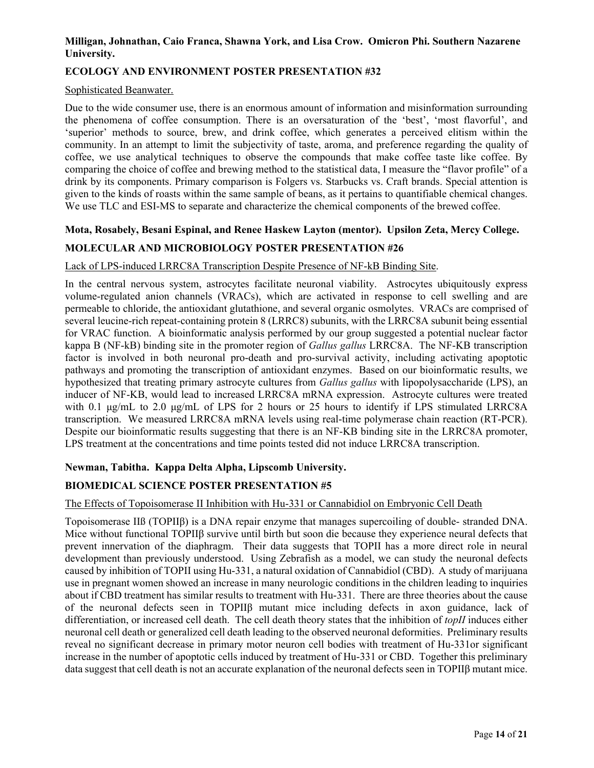## **Milligan, Johnathan, Caio Franca, Shawna York, and Lisa Crow. Omicron Phi. Southern Nazarene University.**

# **ECOLOGY AND ENVIRONMENT POSTER PRESENTATION #32**

#### Sophisticated Beanwater.

Due to the wide consumer use, there is an enormous amount of information and misinformation surrounding the phenomena of coffee consumption. There is an oversaturation of the 'best', 'most flavorful', and 'superior' methods to source, brew, and drink coffee, which generates a perceived elitism within the community. In an attempt to limit the subjectivity of taste, aroma, and preference regarding the quality of coffee, we use analytical techniques to observe the compounds that make coffee taste like coffee. By comparing the choice of coffee and brewing method to the statistical data, I measure the "flavor profile" of a drink by its components. Primary comparison is Folgers vs. Starbucks vs. Craft brands. Special attention is given to the kinds of roasts within the same sample of beans, as it pertains to quantifiable chemical changes. We use TLC and ESI-MS to separate and characterize the chemical components of the brewed coffee.

# **Mota, Rosabely, Besani Espinal, and Renee Haskew Layton (mentor). Upsilon Zeta, Mercy College. MOLECULAR AND MICROBIOLOGY POSTER PRESENTATION #26**

### Lack of LPS-induced LRRC8A Transcription Despite Presence of NF-kB Binding Site.

In the central nervous system, astrocytes facilitate neuronal viability. Astrocytes ubiquitously express volume-regulated anion channels (VRACs), which are activated in response to cell swelling and are permeable to chloride, the antioxidant glutathione, and several organic osmolytes. VRACs are comprised of several leucine-rich repeat-containing protein 8 (LRRC8) subunits, with the LRRC8A subunit being essential for VRAC function. A bioinformatic analysis performed by our group suggested a potential nuclear factor kappa B (NF-kB) binding site in the promoter region of *Gallus gallus* LRRC8A. The NF-KB transcription factor is involved in both neuronal pro-death and pro-survival activity, including activating apoptotic pathways and promoting the transcription of antioxidant enzymes. Based on our bioinformatic results, we hypothesized that treating primary astrocyte cultures from *Gallus gallus* with lipopolysaccharide (LPS), an inducer of NF-KB, would lead to increased LRRC8A mRNA expression. Astrocyte cultures were treated with 0.1  $\mu$ g/mL to 2.0  $\mu$ g/mL of LPS for 2 hours or 25 hours to identify if LPS stimulated LRRC8A transcription. We measured LRRC8A mRNA levels using real-time polymerase chain reaction (RT-PCR). Despite our bioinformatic results suggesting that there is an NF-KB binding site in the LRRC8A promoter, LPS treatment at the concentrations and time points tested did not induce LRRC8A transcription.

# **Newman, Tabitha. Kappa Delta Alpha, Lipscomb University.**

# **BIOMEDICAL SCIENCE POSTER PRESENTATION #5**

#### The Effects of Topoisomerase II Inhibition with Hu-331 or Cannabidiol on Embryonic Cell Death

Topoisomerase IIß (TOPIIβ) is a DNA repair enzyme that manages supercoiling of double- stranded DNA. Mice without functional TOPIIβ survive until birth but soon die because they experience neural defects that prevent innervation of the diaphragm. Their data suggests that TOPII has a more direct role in neural development than previously understood. Using Zebrafish as a model, we can study the neuronal defects caused by inhibition of TOPII using Hu-331, a natural oxidation of Cannabidiol (CBD). A study of marijuana use in pregnant women showed an increase in many neurologic conditions in the children leading to inquiries about if CBD treatment has similar results to treatment with Hu-331. There are three theories about the cause of the neuronal defects seen in TOPIIβ mutant mice including defects in axon guidance, lack of differentiation, or increased cell death. The cell death theory states that the inhibition of *topII* induces either neuronal cell death or generalized cell death leading to the observed neuronal deformities. Preliminary results reveal no significant decrease in primary motor neuron cell bodies with treatment of Hu-331or significant increase in the number of apoptotic cells induced by treatment of Hu-331 or CBD. Together this preliminary data suggest that cell death is not an accurate explanation of the neuronal defects seen in TOPIIβ mutant mice.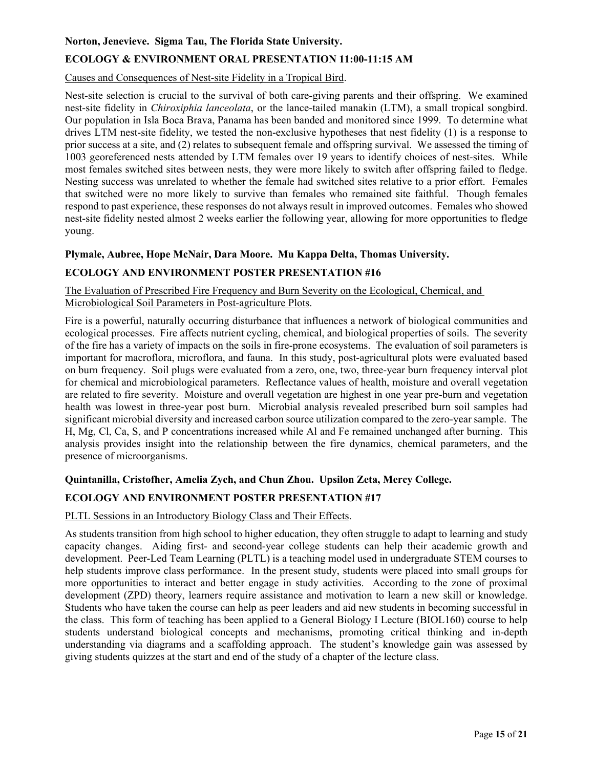#### **Norton, Jenevieve. Sigma Tau, The Florida State University.**

# **ECOLOGY & ENVIRONMENT ORAL PRESENTATION 11:00-11:15 AM**

#### Causes and Consequences of Nest-site Fidelity in a Tropical Bird.

Nest-site selection is crucial to the survival of both care-giving parents and their offspring. We examined nest-site fidelity in *Chiroxiphia lanceolata*, or the lance-tailed manakin (LTM), a small tropical songbird. Our population in Isla Boca Brava, Panama has been banded and monitored since 1999. To determine what drives LTM nest-site fidelity, we tested the non-exclusive hypotheses that nest fidelity (1) is a response to prior success at a site, and (2) relates to subsequent female and offspring survival. We assessed the timing of 1003 georeferenced nests attended by LTM females over 19 years to identify choices of nest-sites. While most females switched sites between nests, they were more likely to switch after offspring failed to fledge. Nesting success was unrelated to whether the female had switched sites relative to a prior effort. Females that switched were no more likely to survive than females who remained site faithful. Though females respond to past experience, these responses do not always result in improved outcomes. Females who showed nest-site fidelity nested almost 2 weeks earlier the following year, allowing for more opportunities to fledge young.

### **Plymale, Aubree, Hope McNair, Dara Moore. Mu Kappa Delta, Thomas University.**

### **ECOLOGY AND ENVIRONMENT POSTER PRESENTATION #16**

The Evaluation of Prescribed Fire Frequency and Burn Severity on the Ecological, Chemical, and Microbiological Soil Parameters in Post-agriculture Plots.

Fire is a powerful, naturally occurring disturbance that influences a network of biological communities and ecological processes. Fire affects nutrient cycling, chemical, and biological properties of soils. The severity of the fire has a variety of impacts on the soils in fire-prone ecosystems. The evaluation of soil parameters is important for macroflora, microflora, and fauna. In this study, post-agricultural plots were evaluated based on burn frequency. Soil plugs were evaluated from a zero, one, two, three-year burn frequency interval plot for chemical and microbiological parameters. Reflectance values of health, moisture and overall vegetation are related to fire severity. Moisture and overall vegetation are highest in one year pre-burn and vegetation health was lowest in three-year post burn. Microbial analysis revealed prescribed burn soil samples had significant microbial diversity and increased carbon source utilization compared to the zero-year sample. The H, Mg, Cl, Ca, S, and P concentrations increased while Al and Fe remained unchanged after burning. This analysis provides insight into the relationship between the fire dynamics, chemical parameters, and the presence of microorganisms.

#### **Quintanilla, Cristofher, Amelia Zych, and Chun Zhou. Upsilon Zeta, Mercy College.**

#### **ECOLOGY AND ENVIRONMENT POSTER PRESENTATION #17**

#### PLTL Sessions in an Introductory Biology Class and Their Effects.

As students transition from high school to higher education, they often struggle to adapt to learning and study capacity changes. Aiding first- and second-year college students can help their academic growth and development. Peer-Led Team Learning (PLTL) is a teaching model used in undergraduate STEM courses to help students improve class performance. In the present study, students were placed into small groups for more opportunities to interact and better engage in study activities. According to the zone of proximal development (ZPD) theory, learners require assistance and motivation to learn a new skill or knowledge. Students who have taken the course can help as peer leaders and aid new students in becoming successful in the class. This form of teaching has been applied to a General Biology I Lecture (BIOL160) course to help students understand biological concepts and mechanisms, promoting critical thinking and in-depth understanding via diagrams and a scaffolding approach. The student's knowledge gain was assessed by giving students quizzes at the start and end of the study of a chapter of the lecture class.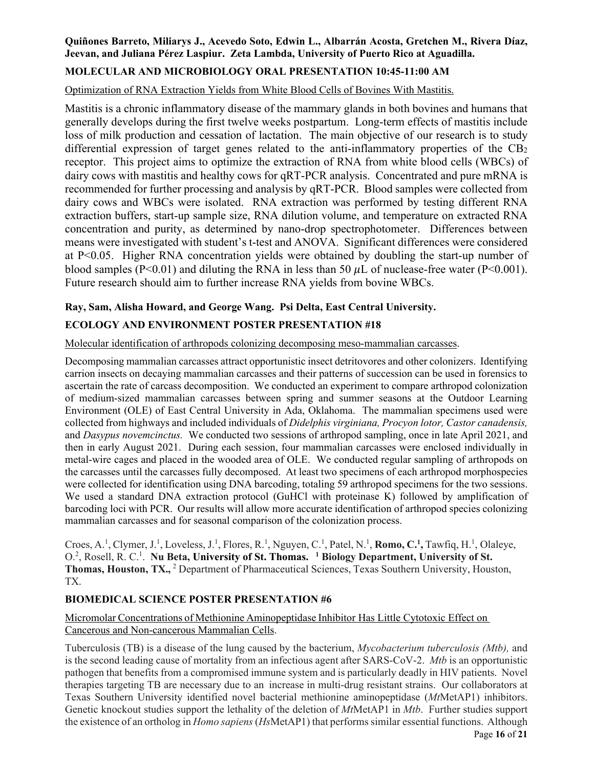# **Quiñones Barreto, Miliarys J., Acevedo Soto, Edwin L., Albarrán Acosta, Gretchen M., Rivera Díaz, Jeevan, and Juliana Pérez Laspiur. Zeta Lambda, University of Puerto Rico at Aguadilla.**

# **MOLECULAR AND MICROBIOLOGY ORAL PRESENTATION 10:45-11:00 AM**

# Optimization of RNA Extraction Yields from White Blood Cells of Bovines With Mastitis.

Mastitis is a chronic inflammatory disease of the mammary glands in both bovines and humans that generally develops during the first twelve weeks postpartum. Long-term effects of mastitis include loss of milk production and cessation of lactation. The main objective of our research is to study differential expression of target genes related to the anti-inflammatory properties of the  $CB<sub>2</sub>$ receptor. This project aims to optimize the extraction of RNA from white blood cells (WBCs) of dairy cows with mastitis and healthy cows for qRT-PCR analysis. Concentrated and pure mRNA is recommended for further processing and analysis by qRT-PCR. Blood samples were collected from dairy cows and WBCs were isolated. RNA extraction was performed by testing different RNA extraction buffers, start-up sample size, RNA dilution volume, and temperature on extracted RNA concentration and purity, as determined by nano-drop spectrophotometer. Differences between means were investigated with student's t-test and ANOVA. Significant differences were considered at P<0.05. Higher RNA concentration yields were obtained by doubling the start-up number of blood samples (P<0.01) and diluting the RNA in less than 50  $\mu$ L of nuclease-free water (P<0.001). Future research should aim to further increase RNA yields from bovine WBCs.

# **Ray, Sam, Alisha Howard, and George Wang. Psi Delta, East Central University.**

# **ECOLOGY AND ENVIRONMENT POSTER PRESENTATION #18**

Molecular identification of arthropods colonizing decomposing meso-mammalian carcasses.

Decomposing mammalian carcasses attract opportunistic insect detritovores and other colonizers. Identifying carrion insects on decaying mammalian carcasses and their patterns of succession can be used in forensics to ascertain the rate of carcass decomposition. We conducted an experiment to compare arthropod colonization of medium-sized mammalian carcasses between spring and summer seasons at the Outdoor Learning Environment (OLE) of East Central University in Ada, Oklahoma. The mammalian specimens used were collected from highways and included individuals of *Didelphis virginiana, Procyon lotor, Castor canadensis,*  and *Dasypus novemcinctus.* We conducted two sessions of arthropod sampling, once in late April 2021, and then in early August 2021. During each session, four mammalian carcasses were enclosed individually in metal-wire cages and placed in the wooded area of OLE. We conducted regular sampling of arthropods on the carcasses until the carcasses fully decomposed. At least two specimens of each arthropod morphospecies were collected for identification using DNA barcoding, totaling 59 arthropod specimens for the two sessions. We used a standard DNA extraction protocol (GuHCl with proteinase K) followed by amplification of barcoding loci with PCR. Our results will allow more accurate identification of arthropod species colonizing mammalian carcasses and for seasonal comparison of the colonization process.

Croes, A.<sup>1</sup>, Clymer, J.<sup>1</sup>, Loveless, J.<sup>1</sup>, Flores, R.<sup>1</sup>, Nguyen, C.<sup>1</sup>, Patel, N.<sup>1</sup>, **Romo, C.<sup>1</sup>, Tawfiq**, H.<sup>1</sup>, Olaleye, O.<sup>2</sup>, Rosell, R. C.<sup>1</sup>. Nu Beta, University of St. Thomas. <sup>1</sup> Biology Department, University of St. Thomas, Houston, TX.,<sup>2</sup> Department of Pharmaceutical Sciences, Texas Southern University, Houston, TX.

#### **BIOMEDICAL SCIENCE POSTER PRESENTATION #6**

### Micromolar Concentrations of Methionine Aminopeptidase Inhibitor Has Little Cytotoxic Effect on Cancerous and Non-cancerous Mammalian Cells.

Tuberculosis (TB) is a disease of the lung caused by the bacterium, *Mycobacterium tuberculosis (Mtb),* and is the second leading cause of mortality from an infectious agent after SARS-CoV-2. *Mtb* is an opportunistic pathogen that benefits from a compromised immune system and is particularly deadly in HIV patients. Novel therapies targeting TB are necessary due to an increase in multi-drug resistant strains. Our collaborators at Texas Southern University identified novel bacterial methionine aminopeptidase (*Mt*MetAP1) inhibitors. Genetic knockout studies support the lethality of the deletion of *Mt*MetAP1 in *Mtb*. Further studies support the existence of an ortholog in *Homo sapiens* (*Hs*MetAP1) that performs similar essential functions. Although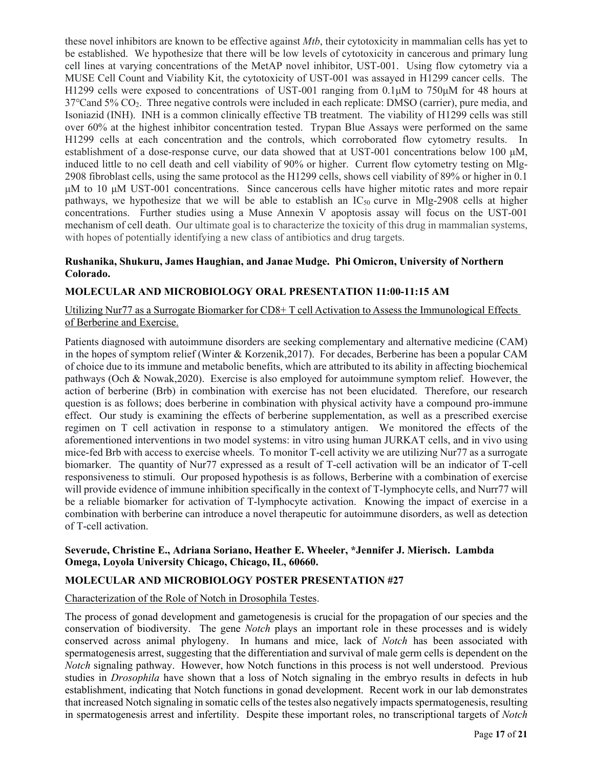these novel inhibitors are known to be effective against *Mtb*, their cytotoxicity in mammalian cells has yet to be established. We hypothesize that there will be low levels of cytotoxicity in cancerous and primary lung cell lines at varying concentrations of the MetAP novel inhibitor, UST-001. Using flow cytometry via a MUSE Cell Count and Viability Kit, the cytotoxicity of UST‐001 was assayed in H1299 cancer cells. The H1299 cells were exposed to concentrations of UST-001 ranging from 0.1μM to 750μM for 48 hours at 37℃and 5% CO2. Three negative controls were included in each replicate: DMSO (carrier), pure media, and Isoniazid (INH). INH is a common clinically effective TB treatment. The viability of H1299 cells was still over 60% at the highest inhibitor concentration tested. Trypan Blue Assays were performed on the same H1299 cells at each concentration and the controls, which corroborated flow cytometry results. In establishment of a dose-response curve, our data showed that at UST-001 concentrations below 100 μM, induced little to no cell death and cell viability of 90% or higher. Current flow cytometry testing on Mlg-2908 fibroblast cells, using the same protocol as the H1299 cells, shows cell viability of 89% or higher in 0.1 μM to 10 μM UST-001 concentrations. Since cancerous cells have higher mitotic rates and more repair pathways, we hypothesize that we will be able to establish an  $IC_{50}$  curve in Mlg-2908 cells at higher concentrations. Further studies using a Muse Annexin V apoptosis assay will focus on the UST-001 mechanism of cell death. Our ultimate goal is to characterize the toxicity of this drug in mammalian systems, with hopes of potentially identifying a new class of antibiotics and drug targets.

#### **Rushanika, Shukuru, James Haughian, and Janae Mudge. Phi Omicron, University of Northern Colorado.**

#### **MOLECULAR AND MICROBIOLOGY ORAL PRESENTATION 11:00-11:15 AM**

Utilizing Nur77 as a Surrogate Biomarker for CD8+ T cell Activation to Assess the Immunological Effects of Berberine and Exercise.

Patients diagnosed with autoimmune disorders are seeking complementary and alternative medicine (CAM) in the hopes of symptom relief (Winter & Korzenik,2017). For decades, Berberine has been a popular CAM of choice due to its immune and metabolic benefits, which are attributed to its ability in affecting biochemical pathways (Och & Nowak,2020). Exercise is also employed for autoimmune symptom relief. However, the action of berberine (Brb) in combination with exercise has not been elucidated. Therefore, our research question is as follows; does berberine in combination with physical activity have a compound pro-immune effect. Our study is examining the effects of berberine supplementation, as well as a prescribed exercise regimen on T cell activation in response to a stimulatory antigen. We monitored the effects of the aforementioned interventions in two model systems: in vitro using human JURKAT cells, and in vivo using mice-fed Brb with access to exercise wheels. To monitor T-cell activity we are utilizing Nur77 as a surrogate biomarker. The quantity of Nur77 expressed as a result of T-cell activation will be an indicator of T-cell responsiveness to stimuli. Our proposed hypothesis is as follows, Berberine with a combination of exercise will provide evidence of immune inhibition specifically in the context of T-lymphocyte cells, and Nurr77 will be a reliable biomarker for activation of T-lymphocyte activation. Knowing the impact of exercise in a combination with berberine can introduce a novel therapeutic for autoimmune disorders, as well as detection of T-cell activation.

#### **Severude, Christine E., Adriana Soriano, Heather E. Wheeler, \*Jennifer J. Mierisch. Lambda Omega, Loyola University Chicago, Chicago, IL, 60660.**

#### **MOLECULAR AND MICROBIOLOGY POSTER PRESENTATION #27**

#### Characterization of the Role of Notch in Drosophila Testes.

The process of gonad development and gametogenesis is crucial for the propagation of our species and the conservation of biodiversity. The gene *Notch* plays an important role in these processes and is widely conserved across animal phylogeny. In humans and mice, lack of *Notch* has been associated with spermatogenesis arrest, suggesting that the differentiation and survival of male germ cells is dependent on the *Notch* signaling pathway. However, how Notch functions in this process is not well understood. Previous studies in *Drosophila* have shown that a loss of Notch signaling in the embryo results in defects in hub establishment, indicating that Notch functions in gonad development. Recent work in our lab demonstrates that increased Notch signaling in somatic cells of the testes also negatively impacts spermatogenesis, resulting in spermatogenesis arrest and infertility. Despite these important roles, no transcriptional targets of *Notch*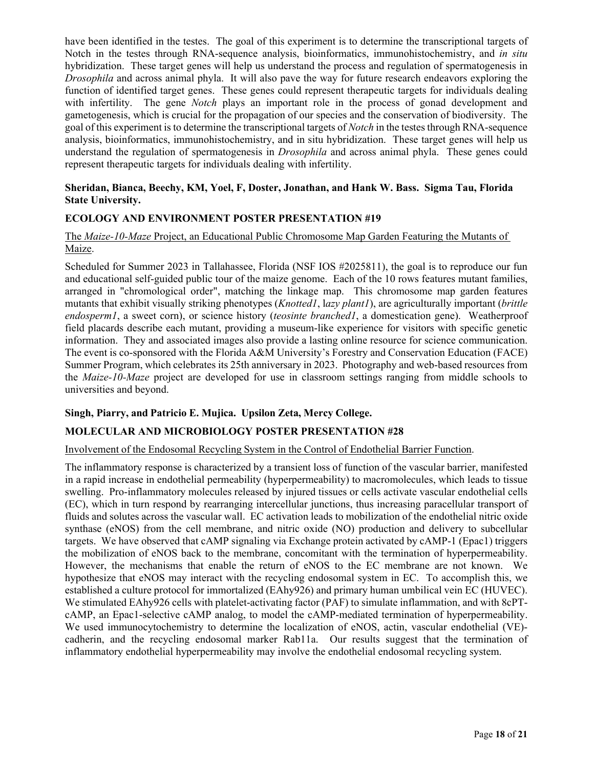have been identified in the testes. The goal of this experiment is to determine the transcriptional targets of Notch in the testes through RNA-sequence analysis, bioinformatics, immunohistochemistry, and *in situ* hybridization. These target genes will help us understand the process and regulation of spermatogenesis in *Drosophila* and across animal phyla. It will also pave the way for future research endeavors exploring the function of identified target genes. These genes could represent therapeutic targets for individuals dealing with infertility. The gene *Notch* plays an important role in the process of gonad development and gametogenesis, which is crucial for the propagation of our species and the conservation of biodiversity. The goal of this experiment is to determine the transcriptional targets of *Notch* in the testes through RNA-sequence analysis, bioinformatics, immunohistochemistry, and in situ hybridization. These target genes will help us understand the regulation of spermatogenesis in *Drosophila* and across animal phyla. These genes could represent therapeutic targets for individuals dealing with infertility.

#### **Sheridan, Bianca, Beechy, KM, Yoel, F, Doster, Jonathan, and Hank W. Bass. Sigma Tau, Florida State University.**

### **ECOLOGY AND ENVIRONMENT POSTER PRESENTATION #19**

#### The *Maize-10-Maze* Project, an Educational Public Chromosome Map Garden Featuring the Mutants of Maize.

Scheduled for Summer 2023 in Tallahassee, Florida (NSF IOS #2025811), the goal is to reproduce our fun and educational self-guided public tour of the maize genome. Each of the 10 rows features mutant families, arranged in "chromological order", matching the linkage map. This chromosome map garden features mutants that exhibit visually striking phenotypes (*Knotted1*, l*azy plant1*), are agriculturally important (*brittle endosperm1*, a sweet corn), or science history (*teosinte branched1*, a domestication gene). Weatherproof field placards describe each mutant, providing a museum-like experience for visitors with specific genetic information. They and associated images also provide a lasting online resource for science communication. The event is co-sponsored with the Florida A&M University's Forestry and Conservation Education (FACE) Summer Program, which celebrates its 25th anniversary in 2023. Photography and web-based resources from the *Maize-10-Maze* project are developed for use in classroom settings ranging from middle schools to universities and beyond.

#### **Singh, Piarry, and Patricio E. Mujica. Upsilon Zeta, Mercy College.**

#### **MOLECULAR AND MICROBIOLOGY POSTER PRESENTATION #28**

#### Involvement of the Endosomal Recycling System in the Control of Endothelial Barrier Function.

The inflammatory response is characterized by a transient loss of function of the vascular barrier, manifested in a rapid increase in endothelial permeability (hyperpermeability) to macromolecules, which leads to tissue swelling. Pro-inflammatory molecules released by injured tissues or cells activate vascular endothelial cells (EC), which in turn respond by rearranging intercellular junctions, thus increasing paracellular transport of fluids and solutes across the vascular wall. EC activation leads to mobilization of the endothelial nitric oxide synthase (eNOS) from the cell membrane, and nitric oxide (NO) production and delivery to subcellular targets. We have observed that cAMP signaling via Exchange protein activated by cAMP-1 (Epac1) triggers the mobilization of eNOS back to the membrane, concomitant with the termination of hyperpermeability. However, the mechanisms that enable the return of eNOS to the EC membrane are not known. We hypothesize that eNOS may interact with the recycling endosomal system in EC. To accomplish this, we established a culture protocol for immortalized (EAhy926) and primary human umbilical vein EC (HUVEC). We stimulated EAhy926 cells with platelet-activating factor (PAF) to simulate inflammation, and with 8cPTcAMP, an Epac1-selective cAMP analog, to model the cAMP-mediated termination of hyperpermeability. We used immunocytochemistry to determine the localization of eNOS, actin, vascular endothelial (VE)cadherin, and the recycling endosomal marker Rab11a. Our results suggest that the termination of inflammatory endothelial hyperpermeability may involve the endothelial endosomal recycling system.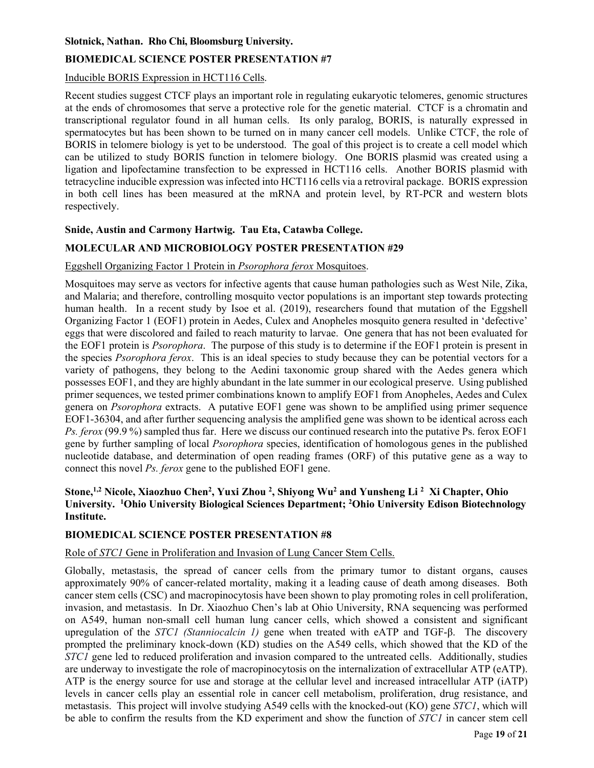#### **Slotnick, Nathan. Rho Chi, Bloomsburg University.**

# **BIOMEDICAL SCIENCE POSTER PRESENTATION #7**

# Inducible BORIS Expression in HCT116 Cells.

Recent studies suggest CTCF plays an important role in regulating eukaryotic telomeres, genomic structures at the ends of chromosomes that serve a protective role for the genetic material. CTCF is a chromatin and transcriptional regulator found in all human cells. Its only paralog, BORIS, is naturally expressed in spermatocytes but has been shown to be turned on in many cancer cell models. Unlike CTCF, the role of BORIS in telomere biology is yet to be understood. The goal of this project is to create a cell model which can be utilized to study BORIS function in telomere biology. One BORIS plasmid was created using a ligation and lipofectamine transfection to be expressed in HCT116 cells. Another BORIS plasmid with tetracycline inducible expression was infected into HCT116 cells via a retroviral package. BORIS expression in both cell lines has been measured at the mRNA and protein level, by RT-PCR and western blots respectively.

# **Snide, Austin and Carmony Hartwig. Tau Eta, Catawba College.**

# **MOLECULAR AND MICROBIOLOGY POSTER PRESENTATION #29**

# Eggshell Organizing Factor 1 Protein in *Psorophora ferox* Mosquitoes.

Mosquitoes may serve as vectors for infective agents that cause human pathologies such as West Nile, Zika, and Malaria; and therefore, controlling mosquito vector populations is an important step towards protecting human health. In a recent study by Isoe et al. (2019), researchers found that mutation of the Eggshell Organizing Factor 1 (EOF1) protein in Aedes, Culex and Anopheles mosquito genera resulted in 'defective' eggs that were discolored and failed to reach maturity to larvae. One genera that has not been evaluated for the EOF1 protein is *Psorophora*. The purpose of this study is to determine if the EOF1 protein is present in the species *Psorophora ferox*. This is an ideal species to study because they can be potential vectors for a variety of pathogens, they belong to the Aedini taxonomic group shared with the Aedes genera which possesses EOF1, and they are highly abundant in the late summer in our ecological preserve. Using published primer sequences, we tested primer combinations known to amplify EOF1 from Anopheles, Aedes and Culex genera on *Psorophora* extracts. A putative EOF1 gene was shown to be amplified using primer sequence EOF1-36304, and after further sequencing analysis the amplified gene was shown to be identical across each *Ps. ferox* (99.9 %) sampled thus far. Here we discuss our continued research into the putative Ps. ferox EOF1 gene by further sampling of local *Psorophora* species, identification of homologous genes in the published nucleotide database, and determination of open reading frames (ORF) of this putative gene as a way to connect this novel *Ps. ferox* gene to the published EOF1 gene.

## Stone,<sup>1,2</sup> Nicole, Xiaozhuo Chen<sup>2</sup>, Yuxi Zhou<sup>2</sup>, Shiyong Wu<sup>2</sup> and Yunsheng Li<sup>2</sup> Xi Chapter, Ohio **University. 1 Ohio University Biological Sciences Department; 2 Ohio University Edison Biotechnology Institute.**

# **BIOMEDICAL SCIENCE POSTER PRESENTATION #8**

# Role of *STC1* Gene in Proliferation and Invasion of Lung Cancer Stem Cells.

Globally, metastasis, the spread of cancer cells from the primary tumor to distant organs, causes approximately 90% of cancer-related mortality, making it a leading cause of death among diseases. Both cancer stem cells (CSC) and macropinocytosis have been shown to play promoting roles in cell proliferation, invasion, and metastasis. In Dr. Xiaozhuo Chen's lab at Ohio University, RNA sequencing was performed on A549, human non-small cell human lung cancer cells, which showed a consistent and significant upregulation of the *STC1 (Stanniocalcin 1)* gene when treated with eATP and TGF-β. The discovery prompted the preliminary knock-down (KD) studies on the A549 cells, which showed that the KD of the *STC1* gene led to reduced proliferation and invasion compared to the untreated cells. Additionally, studies are underway to investigate the role of macropinocytosis on the internalization of extracellular ATP (eATP). ATP is the energy source for use and storage at the cellular level and increased intracellular ATP (iATP) levels in cancer cells play an essential role in cancer cell metabolism, proliferation, drug resistance, and metastasis. This project will involve studying A549 cells with the knocked-out (KO) gene *STC1*, which will be able to confirm the results from the KD experiment and show the function of *STC1* in cancer stem cell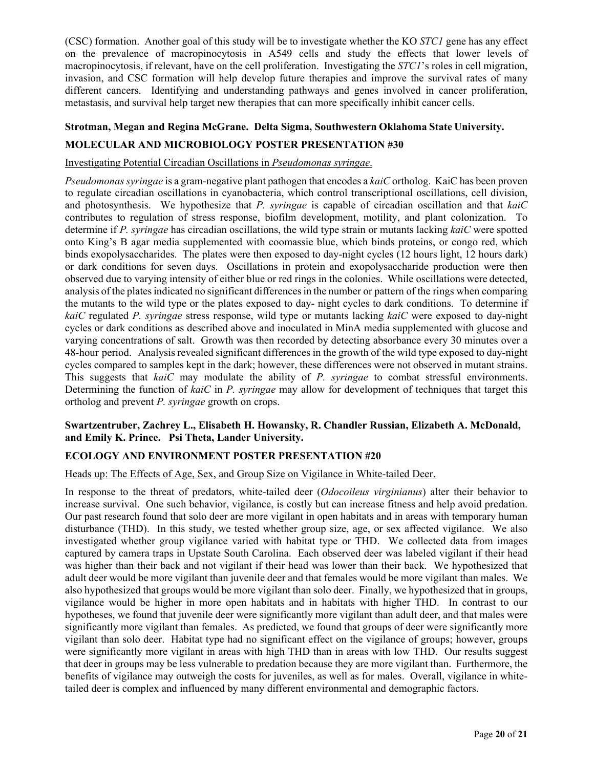(CSC) formation. Another goal of this study will be to investigate whether the KO *STC1* gene has any effect on the prevalence of macropinocytosis in A549 cells and study the effects that lower levels of macropinocytosis, if relevant, have on the cell proliferation. Investigating the *STC1*'s roles in cell migration, invasion, and CSC formation will help develop future therapies and improve the survival rates of many different cancers. Identifying and understanding pathways and genes involved in cancer proliferation, metastasis, and survival help target new therapies that can more specifically inhibit cancer cells.

# **Strotman, Megan and Regina McGrane. Delta Sigma, Southwestern Oklahoma State University.**

### **MOLECULAR AND MICROBIOLOGY POSTER PRESENTATION #30**

#### Investigating Potential Circadian Oscillations in *Pseudomonas syringae*.

*Pseudomonas syringae* is a gram-negative plant pathogen that encodes a *kaiC* ortholog. KaiC has been proven to regulate circadian oscillations in cyanobacteria, which control transcriptional oscillations, cell division, and photosynthesis. We hypothesize that *P. syringae* is capable of circadian oscillation and that *kaiC*  contributes to regulation of stress response, biofilm development, motility, and plant colonization. To determine if *P. syringae* has circadian oscillations, the wild type strain or mutants lacking *kaiC* were spotted onto King's B agar media supplemented with coomassie blue, which binds proteins, or congo red, which binds exopolysaccharides. The plates were then exposed to day-night cycles (12 hours light, 12 hours dark) or dark conditions for seven days. Oscillations in protein and exopolysaccharide production were then observed due to varying intensity of either blue or red rings in the colonies. While oscillations were detected, analysis of the plates indicated no significant differences in the number or pattern of the rings when comparing the mutants to the wild type or the plates exposed to day- night cycles to dark conditions. To determine if *kaiC* regulated *P. syringae* stress response, wild type or mutants lacking *kaiC* were exposed to day-night cycles or dark conditions as described above and inoculated in MinA media supplemented with glucose and varying concentrations of salt. Growth was then recorded by detecting absorbance every 30 minutes over a 48-hour period. Analysis revealed significant differences in the growth of the wild type exposed to day-night cycles compared to samples kept in the dark; however, these differences were not observed in mutant strains. This suggests that *kaiC* may modulate the ability of *P. syringae* to combat stressful environments. Determining the function of *kaiC* in *P. syringae* may allow for development of techniques that target this ortholog and prevent *P. syringae* growth on crops.

### **Swartzentruber, Zachrey L., Elisabeth H. Howansky, R. Chandler Russian, Elizabeth A. McDonald, and Emily K. Prince. Psi Theta, Lander University.**

#### **ECOLOGY AND ENVIRONMENT POSTER PRESENTATION #20**

#### Heads up: The Effects of Age, Sex, and Group Size on Vigilance in White-tailed Deer.

In response to the threat of predators, white-tailed deer (*Odocoileus virginianus*) alter their behavior to increase survival. One such behavior, vigilance, is costly but can increase fitness and help avoid predation. Our past research found that solo deer are more vigilant in open habitats and in areas with temporary human disturbance (THD). In this study, we tested whether group size, age, or sex affected vigilance. We also investigated whether group vigilance varied with habitat type or THD. We collected data from images captured by camera traps in Upstate South Carolina. Each observed deer was labeled vigilant if their head was higher than their back and not vigilant if their head was lower than their back. We hypothesized that adult deer would be more vigilant than juvenile deer and that females would be more vigilant than males. We also hypothesized that groups would be more vigilant than solo deer. Finally, we hypothesized that in groups, vigilance would be higher in more open habitats and in habitats with higher THD. In contrast to our hypotheses, we found that juvenile deer were significantly more vigilant than adult deer, and that males were significantly more vigilant than females. As predicted, we found that groups of deer were significantly more vigilant than solo deer. Habitat type had no significant effect on the vigilance of groups; however, groups were significantly more vigilant in areas with high THD than in areas with low THD. Our results suggest that deer in groups may be less vulnerable to predation because they are more vigilant than. Furthermore, the benefits of vigilance may outweigh the costs for juveniles, as well as for males. Overall, vigilance in whitetailed deer is complex and influenced by many different environmental and demographic factors.